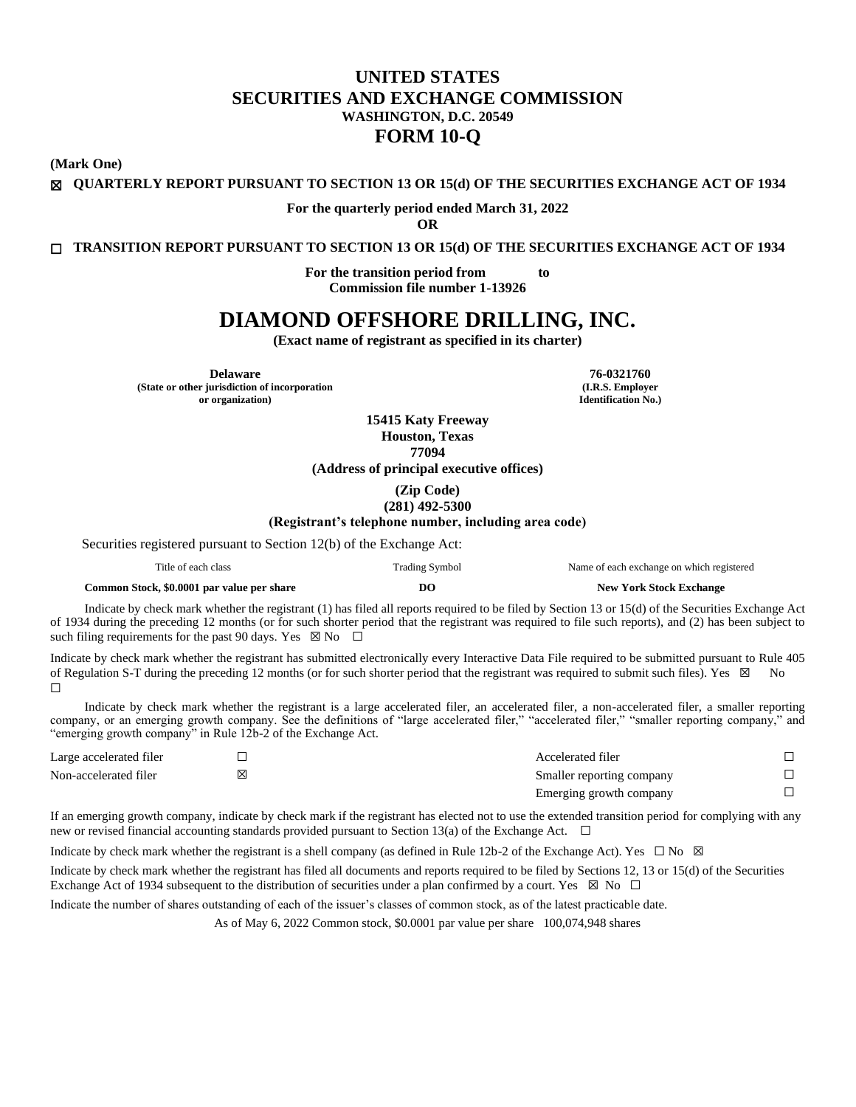# **UNITED STATES SECURITIES AND EXCHANGE COMMISSION WASHINGTON, D.C. 20549 FORM 10-Q**

**(Mark One)**

☒ **QUARTERLY REPORT PURSUANT TO SECTION 13 OR 15(d) OF THE SECURITIES EXCHANGE ACT OF 1934**

**For the quarterly period ended March 31, 2022**

<span id="page-0-0"></span>**OR**

☐ **TRANSITION REPORT PURSUANT TO SECTION 13 OR 15(d) OF THE SECURITIES EXCHANGE ACT OF 1934**

**For the transition period from to Commission file number 1-13926**

# **DIAMOND OFFSHORE DRILLING, INC.**

**(Exact name of registrant as specified in its charter)**

**Delaware 76-0321760 (State or other jurisdiction of incorporation or organization)**

**(I.R.S. Employer Identification No.)**

**15415 Katy Freeway Houston, Texas 77094 (Address of principal executive offices)**

> **(Zip Code) (281) 492-5300**

**(Registrant's telephone number, including area code)**

Securities registered pursuant to Section 12(b) of the Exchange Act:

| mar de la c<br>itle of<br>each class | . rading . | Name of each exchange on which registered |
|--------------------------------------|------------|-------------------------------------------|
|--------------------------------------|------------|-------------------------------------------|

| Common Stock, \$0.0001 par value per share | D <sub>O</sub> | <b>New York Stock Exchange</b> |
|--------------------------------------------|----------------|--------------------------------|
|--------------------------------------------|----------------|--------------------------------|

Indicate by check mark whether the registrant (1) has filed all reports required to be filed by Section 13 or 15(d) of the Securities Exchange Act of 1934 during the preceding 12 months (or for such shorter period that the registrant was required to file such reports), and (2) has been subject to such filing requirements for the past 90 days. Yes  $\boxtimes$  No  $\Box$ 

Indicate by check mark whether the registrant has submitted electronically every Interactive Data File required to be submitted pursuant to Rule 405 of Regulation S-T during the preceding 12 months (or for such shorter period that the registrant was required to submit such files). Yes ⊠ No ☐

Indicate by check mark whether the registrant is a large accelerated filer, an accelerated filer, a non-accelerated filer, a smaller reporting company, or an emerging growth company. See the definitions of "large accelerated filer," "accelerated filer," "smaller reporting company," and "emerging growth company" in Rule 12b-2 of the Exchange Act.

| Large accelerated filer | Accelerated filer         |  |
|-------------------------|---------------------------|--|
| Non-accelerated filer   | Smaller reporting company |  |
|                         | Emerging growth company   |  |

If an emerging growth company, indicate by check mark if the registrant has elected not to use the extended transition period for complying with any new or revised financial accounting standards provided pursuant to Section 13(a) of the Exchange Act. □

Indicate by check mark whether the registrant is a shell company (as defined in Rule 12b-2 of the Exchange Act). Yes  $\Box$  No  $\boxtimes$ 

Indicate by check mark whether the registrant has filed all documents and reports required to be filed by Sections 12, 13 or 15(d) of the Securities Exchange Act of 1934 subsequent to the distribution of securities under a plan confirmed by a court. Yes  $\boxtimes$  No  $\Box$ 

Indicate the number of shares outstanding of each of the issuer's classes of common stock, as of the latest practicable date.

As of May 6, 2022 Common stock, \$0.0001 par value per share 100,074,948 shares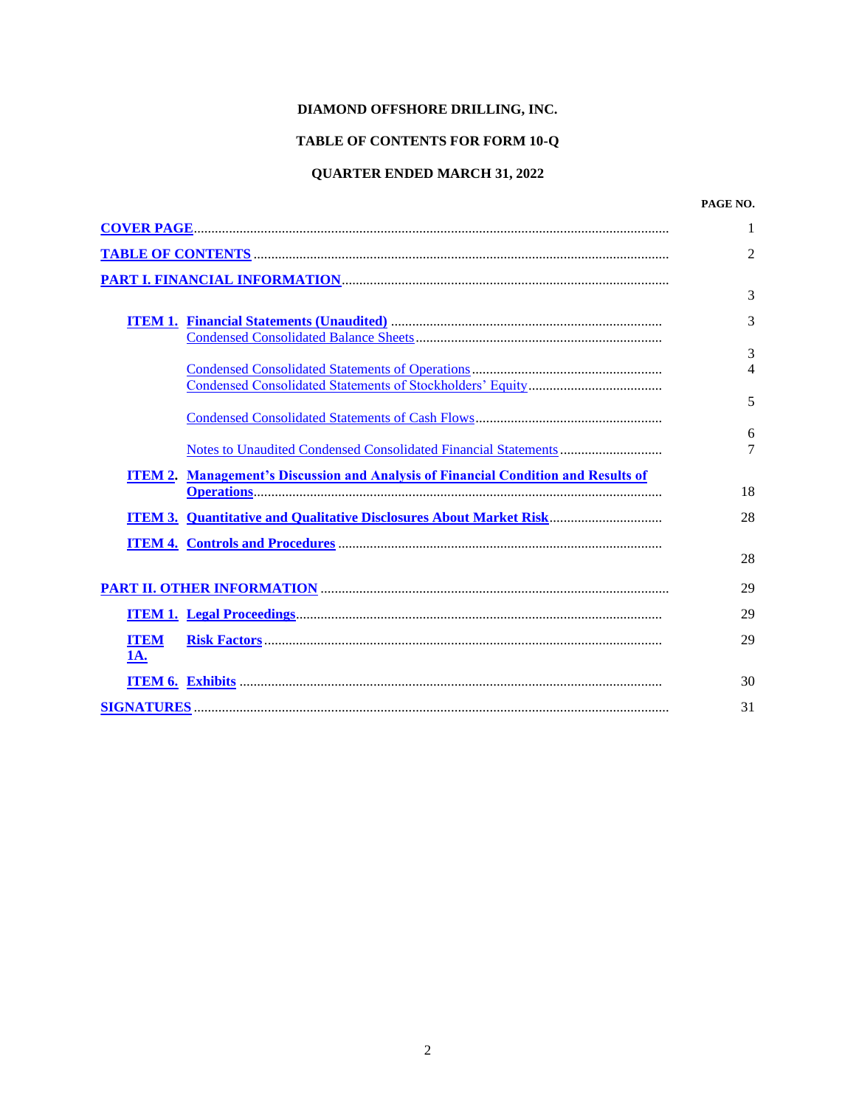# **DIAMOND OFFSHORE DRILLING, INC.**

# **TABLE OF CONTENTS FOR FORM 10-Q**

# **QUARTER ENDED MARCH 31, 2022**

## **PAGE NO.**

<span id="page-1-0"></span>

|                    |                                                                                           | 1                        |
|--------------------|-------------------------------------------------------------------------------------------|--------------------------|
|                    |                                                                                           | 2                        |
|                    |                                                                                           |                          |
|                    |                                                                                           | 3                        |
|                    |                                                                                           | 3                        |
|                    |                                                                                           | 3                        |
|                    |                                                                                           | $\overline{\mathcal{A}}$ |
|                    |                                                                                           |                          |
|                    |                                                                                           | 5                        |
|                    |                                                                                           | 6                        |
|                    |                                                                                           | 7                        |
|                    | <b>ITEM 2. Management's Discussion and Analysis of Financial Condition and Results of</b> |                          |
|                    |                                                                                           | 18                       |
|                    | <b>ITEM 3. Quantitative and Qualitative Disclosures About Market Risk</b>                 | 28                       |
|                    |                                                                                           |                          |
|                    |                                                                                           | 28                       |
|                    |                                                                                           | 29                       |
|                    |                                                                                           | 29                       |
| <b>ITEM</b><br>1A. |                                                                                           | 29                       |
|                    |                                                                                           | 30                       |
|                    |                                                                                           | 31                       |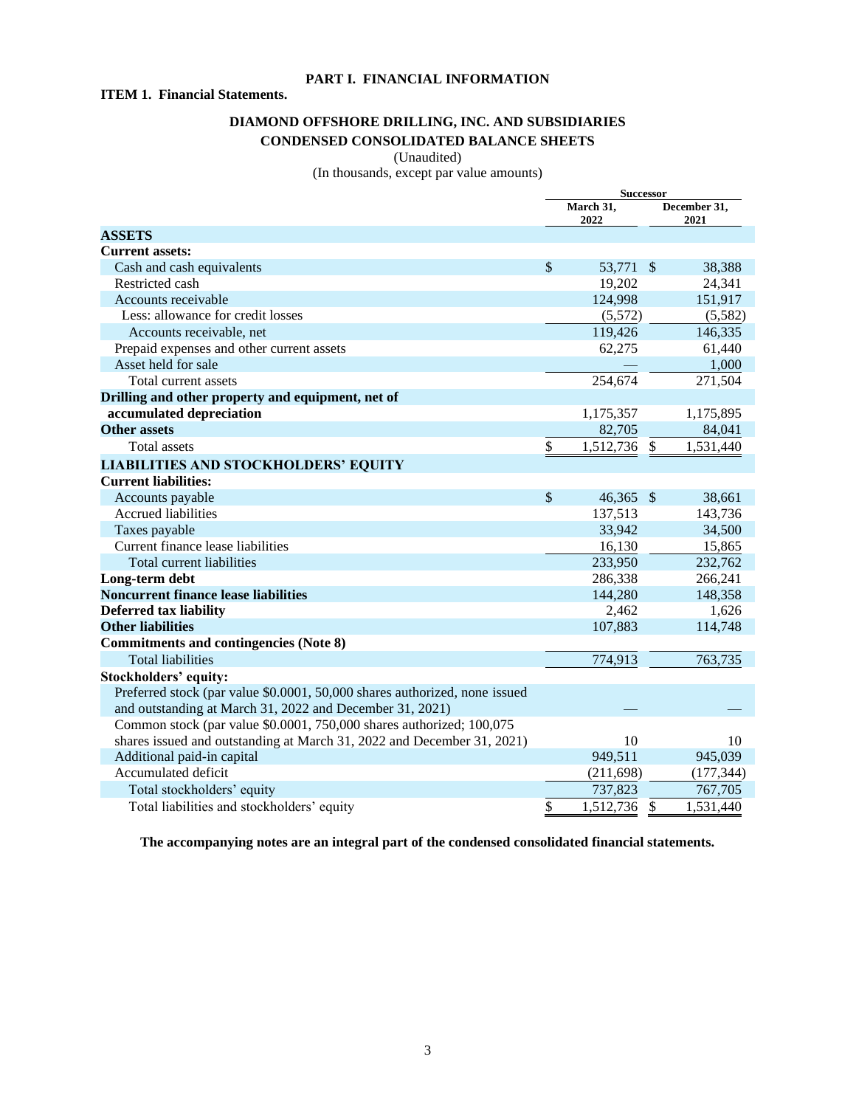# **PART I. FINANCIAL INFORMATION**

# **ITEM 1. Financial Statements.**

# <span id="page-2-1"></span>**DIAMOND OFFSHORE DRILLING, INC. AND SUBSIDIARIES CONDENSED CONSOLIDATED BALANCE SHEETS**

# <span id="page-2-2"></span><span id="page-2-0"></span>(Unaudited)

(In thousands, except par value amounts)

|                                                                            | <b>Successor</b> |                                           |              |            |
|----------------------------------------------------------------------------|------------------|-------------------------------------------|--------------|------------|
|                                                                            |                  | March 31,<br>December 31,<br>2022<br>2021 |              |            |
| <b>ASSETS</b>                                                              |                  |                                           |              |            |
| <b>Current assets:</b>                                                     |                  |                                           |              |            |
| Cash and cash equivalents                                                  | $\mathcal{S}$    | 53,771 \$                                 |              | 38,388     |
| Restricted cash                                                            |                  | 19,202                                    |              | 24,341     |
| Accounts receivable                                                        |                  | 124,998                                   |              | 151,917    |
| Less: allowance for credit losses                                          |                  | (5,572)                                   |              | (5,582)    |
| Accounts receivable, net                                                   |                  | 119,426                                   |              | 146,335    |
| Prepaid expenses and other current assets                                  |                  | 62,275                                    |              | 61,440     |
| Asset held for sale                                                        |                  |                                           |              | 1,000      |
| Total current assets                                                       |                  | 254,674                                   |              | 271,504    |
| Drilling and other property and equipment, net of                          |                  |                                           |              |            |
| accumulated depreciation                                                   |                  | 1,175,357                                 |              | 1,175,895  |
| <b>Other assets</b>                                                        |                  | 82,705                                    |              | 84,041     |
| <b>Total</b> assets                                                        | \$               | 1,512,736                                 | $\mathbb{S}$ | 1,531,440  |
| <b>LIABILITIES AND STOCKHOLDERS' EQUITY</b>                                |                  |                                           |              |            |
| <b>Current liabilities:</b>                                                |                  |                                           |              |            |
| Accounts payable                                                           | $\mathcal{S}$    | 46,365 \$                                 |              | 38,661     |
| Accrued liabilities                                                        |                  | 137,513                                   |              | 143,736    |
| Taxes payable                                                              |                  | 33,942                                    |              | 34,500     |
| Current finance lease liabilities                                          |                  | 16,130                                    |              | 15,865     |
| Total current liabilities                                                  |                  | 233,950                                   |              | 232,762    |
| Long-term debt                                                             |                  | 286,338                                   |              | 266,241    |
| <b>Noncurrent finance lease liabilities</b>                                |                  | 144,280                                   |              | 148,358    |
| <b>Deferred tax liability</b>                                              |                  | 2,462                                     |              | 1,626      |
| <b>Other liabilities</b>                                                   |                  | 107,883                                   |              | 114,748    |
| <b>Commitments and contingencies (Note 8)</b>                              |                  |                                           |              |            |
| <b>Total liabilities</b>                                                   |                  | 774,913                                   |              | 763,735    |
| <b>Stockholders' equity:</b>                                               |                  |                                           |              |            |
| Preferred stock (par value \$0.0001, 50,000 shares authorized, none issued |                  |                                           |              |            |
| and outstanding at March 31, 2022 and December 31, 2021)                   |                  |                                           |              |            |
| Common stock (par value \$0.0001, 750,000 shares authorized; 100,075       |                  |                                           |              |            |
| shares issued and outstanding at March 31, 2022 and December 31, 2021)     |                  | 10                                        |              | 10         |
| Additional paid-in capital                                                 |                  | 949,511                                   |              | 945,039    |
| Accumulated deficit                                                        |                  | (211, 698)                                |              | (177, 344) |
| Total stockholders' equity                                                 |                  | 737,823                                   |              | 767,705    |
| Total liabilities and stockholders' equity                                 | \$               | 1,512,736                                 | \$           | 1,531,440  |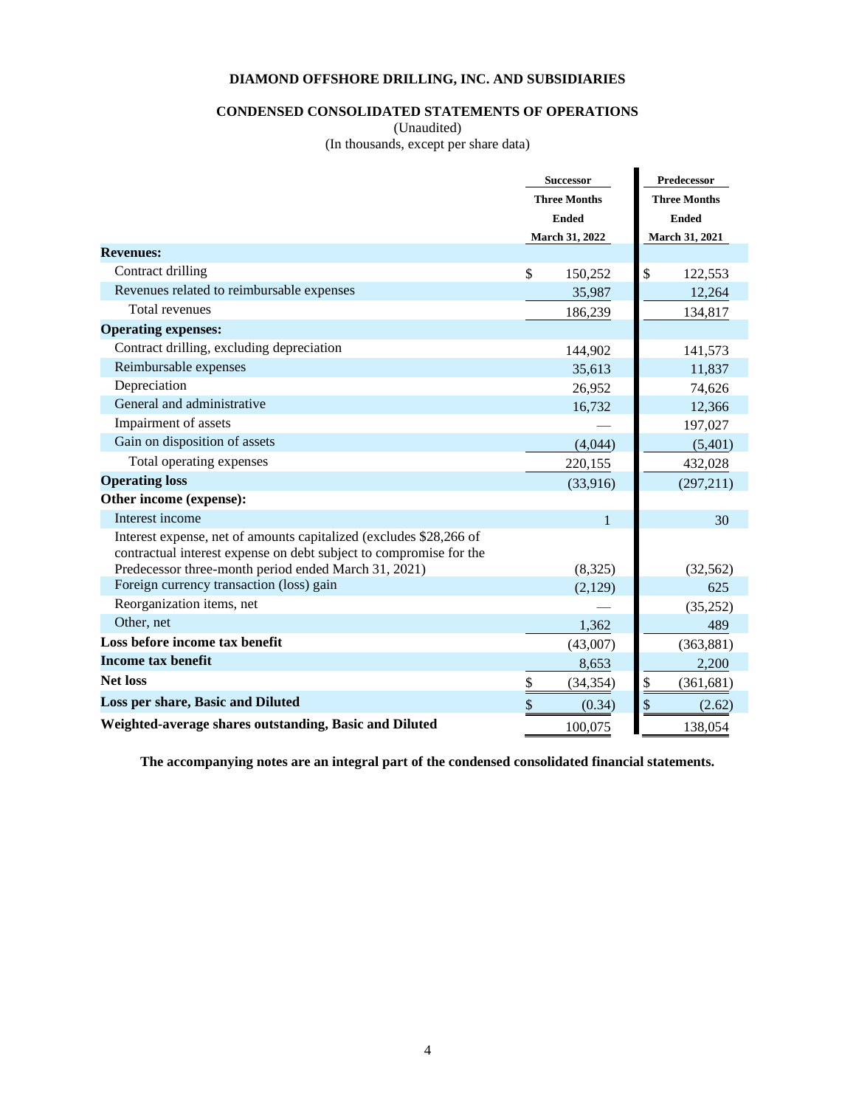# **CONDENSED CONSOLIDATED STATEMENTS OF OPERATIONS**

<span id="page-3-0"></span>(Unaudited)

(In thousands, except per share data)

|                                                                                                                                          |                          | <b>Successor</b>    |                          | Predecessor         |  |  |
|------------------------------------------------------------------------------------------------------------------------------------------|--------------------------|---------------------|--------------------------|---------------------|--|--|
|                                                                                                                                          |                          | <b>Three Months</b> |                          | <b>Three Months</b> |  |  |
|                                                                                                                                          |                          | <b>Ended</b>        | <b>Ended</b>             |                     |  |  |
|                                                                                                                                          |                          | March 31, 2022      |                          | March 31, 2021      |  |  |
| <b>Revenues:</b>                                                                                                                         |                          |                     |                          |                     |  |  |
| Contract drilling                                                                                                                        | \$                       | 150,252             | \$                       | 122,553             |  |  |
| Revenues related to reimbursable expenses                                                                                                |                          | 35,987              |                          | 12,264              |  |  |
| <b>Total revenues</b>                                                                                                                    |                          | 186,239             |                          | 134,817             |  |  |
| <b>Operating expenses:</b>                                                                                                               |                          |                     |                          |                     |  |  |
| Contract drilling, excluding depreciation                                                                                                |                          | 144,902             |                          | 141,573             |  |  |
| Reimbursable expenses                                                                                                                    |                          | 35,613              |                          | 11,837              |  |  |
| Depreciation                                                                                                                             |                          | 26,952              |                          | 74,626              |  |  |
| General and administrative                                                                                                               |                          | 16,732              |                          | 12,366              |  |  |
| Impairment of assets                                                                                                                     |                          |                     |                          | 197,027             |  |  |
| Gain on disposition of assets                                                                                                            |                          | (4,044)             |                          | (5,401)             |  |  |
| Total operating expenses                                                                                                                 |                          | 220,155             |                          | 432,028             |  |  |
| <b>Operating loss</b>                                                                                                                    |                          | (33,916)            |                          | (297,211)           |  |  |
| Other income (expense):                                                                                                                  |                          |                     |                          |                     |  |  |
| Interest income                                                                                                                          |                          | $\mathbf{1}$        |                          | 30                  |  |  |
| Interest expense, net of amounts capitalized (excludes \$28,266 of<br>contractual interest expense on debt subject to compromise for the |                          |                     |                          |                     |  |  |
| Predecessor three-month period ended March 31, 2021)                                                                                     |                          | (8,325)             |                          | (32, 562)           |  |  |
| Foreign currency transaction (loss) gain                                                                                                 |                          | (2,129)             |                          | 625                 |  |  |
| Reorganization items, net                                                                                                                |                          |                     |                          | (35,252)            |  |  |
| Other, net                                                                                                                               |                          | 1,362               |                          | 489                 |  |  |
| Loss before income tax benefit                                                                                                           |                          | (43,007)            |                          | (363, 881)          |  |  |
| <b>Income tax benefit</b>                                                                                                                |                          | 8,653               |                          | 2,200               |  |  |
| <b>Net loss</b>                                                                                                                          | $\overline{\mathcal{E}}$ | (34, 354)           | $\overline{\mathcal{E}}$ | (361, 681)          |  |  |
| Loss per share, Basic and Diluted                                                                                                        | \$                       | (0.34)              | $\frac{1}{2}$            | (2.62)              |  |  |
| Weighted-average shares outstanding, Basic and Diluted                                                                                   |                          | 100,075             |                          | 138,054             |  |  |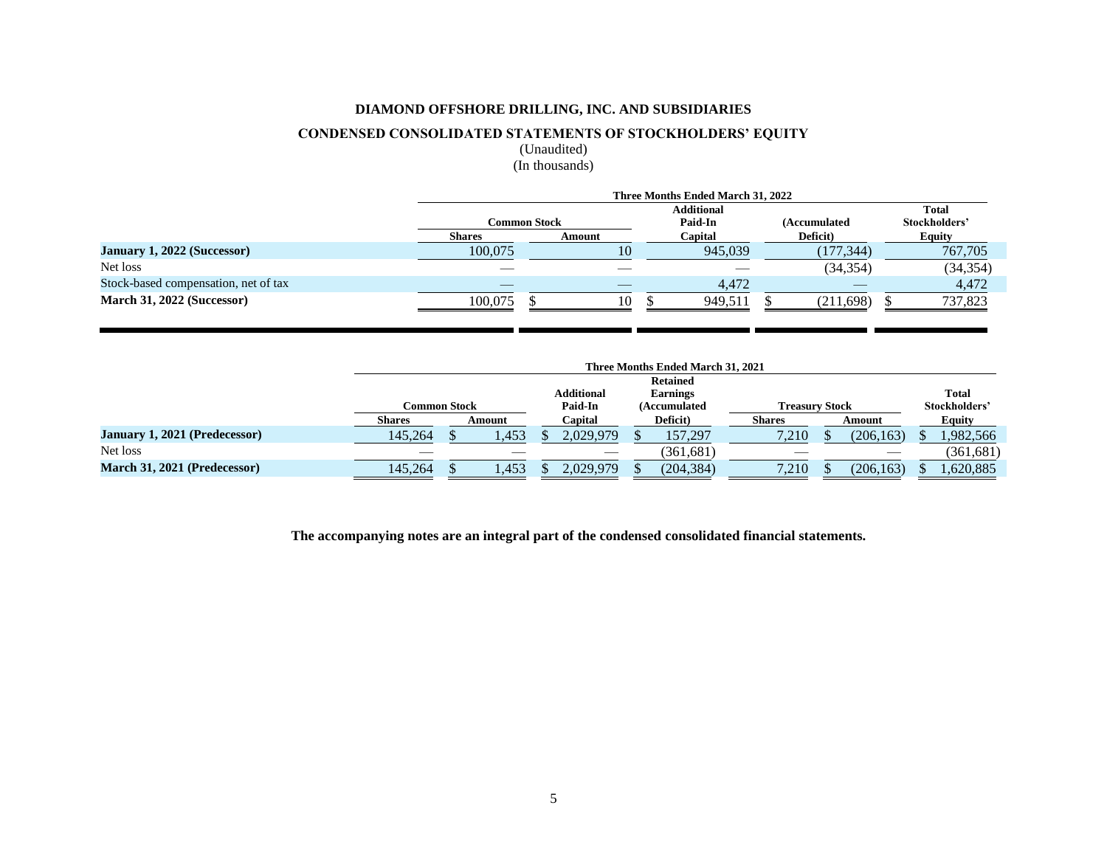# **CONDENSED CONSOLIDATED STATEMENTS OF STOCKHOLDERS' EQUITY**

<span id="page-4-0"></span>(Unaudited) (In thousands)

|                                      | Three Months Ended March 31, 2022 |                                                |         |            |           |  |  |  |
|--------------------------------------|-----------------------------------|------------------------------------------------|---------|------------|-----------|--|--|--|
|                                      |                                   | <b>Additional</b>                              |         |            |           |  |  |  |
|                                      |                                   | <b>Paid-In</b><br>Common Stock<br>(Accumulated |         |            |           |  |  |  |
|                                      | <b>Shares</b>                     | Amount                                         | Capital | Deficit)   | Equity    |  |  |  |
| January 1, 2022 (Successor)          | 100,075                           | 10                                             | 945.039 | (177, 344) | 767,705   |  |  |  |
| Net loss                             |                                   |                                                |         | (34, 354)  | (34, 354) |  |  |  |
| Stock-based compensation, net of tax |                                   |                                                | 4.472   |            | 4,472     |  |  |  |
| March 31, 2022 (Successor)           | 100.075                           | 10                                             | 949.511 | (211, 698) | 737,823   |  |  |  |

|                               |                         | Three Months Ended March 31, 2021 |       |  |                   |                                       |                 |  |       |               |            |  |               |  |        |  |        |
|-------------------------------|-------------------------|-----------------------------------|-------|--|-------------------|---------------------------------------|-----------------|--|-------|---------------|------------|--|---------------|--|--------|--|--------|
|                               |                         |                                   |       |  |                   |                                       | <b>Retained</b> |  |       |               |            |  |               |  |        |  |        |
|                               |                         |                                   |       |  | <b>Additional</b> |                                       | <b>Earnings</b> |  |       |               |            |  | <b>Total</b>  |  |        |  |        |
|                               | Common Stock            |                                   |       |  | <b>Paid-In</b>    | <b>Treasury Stock</b><br>(Accumulated |                 |  |       | Stockholders' |            |  |               |  |        |  |        |
|                               | <b>Shares</b><br>Amount |                                   |       |  | Capital           | Deficit)                              |                 |  |       |               |            |  | <b>Shares</b> |  | Amount |  | Equity |
| January 1, 2021 (Predecessor) | 145,264                 |                                   | 1,453 |  | 2,029,979         |                                       | 157,297         |  | 7,210 |               | (206, 163) |  | ,982,566      |  |        |  |        |
| Net loss                      |                         |                                   |       |  |                   |                                       | (361.681)       |  | ___   |               |            |  | (361,681)     |  |        |  |        |
| March 31, 2021 (Predecessor)  | 145.264                 |                                   | 1,453 |  | 2,029,979         |                                       | (204, 384)      |  | 7,210 |               | (206, 163) |  | ,620,885      |  |        |  |        |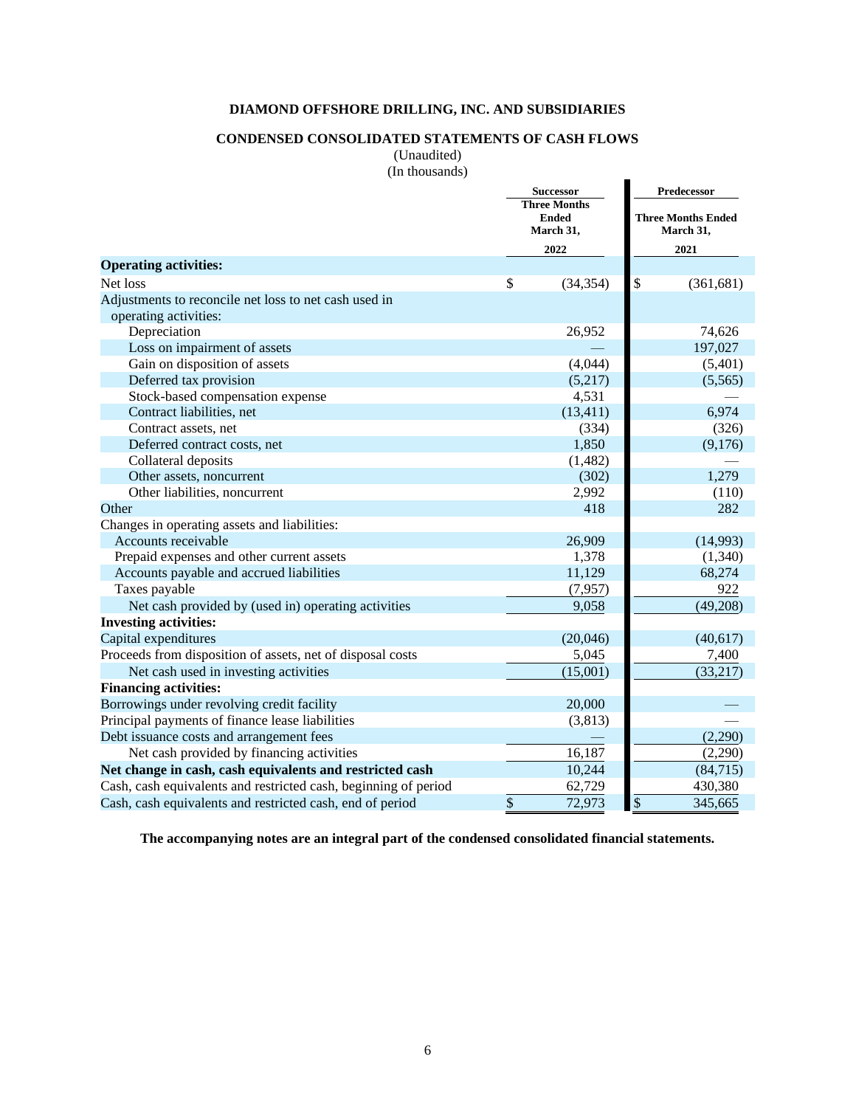# **CONDENSED CONSOLIDATED STATEMENTS OF CASH FLOWS**

<span id="page-5-0"></span>(Unaudited)

|  | (In thousands) |
|--|----------------|
|--|----------------|

|                                                                 | <b>Successor</b><br><b>Three Months</b><br><b>Ended</b><br>March 31, |                           | Predecessor<br><b>Three Months Ended</b><br>March 31, |
|-----------------------------------------------------------------|----------------------------------------------------------------------|---------------------------|-------------------------------------------------------|
|                                                                 | 2022                                                                 |                           | 2021                                                  |
| <b>Operating activities:</b>                                    |                                                                      |                           |                                                       |
| Net loss                                                        | \$<br>(34, 354)                                                      | \$                        | (361, 681)                                            |
| Adjustments to reconcile net loss to net cash used in           |                                                                      |                           |                                                       |
| operating activities:                                           |                                                                      |                           |                                                       |
| Depreciation                                                    | 26,952                                                               |                           | 74,626                                                |
| Loss on impairment of assets                                    |                                                                      |                           | 197,027                                               |
| Gain on disposition of assets                                   | (4,044)                                                              |                           | (5,401)                                               |
| Deferred tax provision                                          | (5,217)                                                              |                           | (5,565)                                               |
| Stock-based compensation expense                                | 4,531                                                                |                           |                                                       |
| Contract liabilities, net                                       | (13, 411)                                                            |                           | 6,974                                                 |
| Contract assets, net                                            | (334)                                                                |                           | (326)                                                 |
| Deferred contract costs, net                                    | 1,850                                                                |                           | (9,176)                                               |
| Collateral deposits                                             | (1, 482)                                                             |                           |                                                       |
| Other assets, noncurrent                                        | (302)                                                                |                           | 1,279                                                 |
| Other liabilities, noncurrent                                   | 2,992                                                                |                           | (110)                                                 |
| Other                                                           | 418                                                                  |                           | 282                                                   |
| Changes in operating assets and liabilities:                    |                                                                      |                           |                                                       |
| Accounts receivable                                             | 26,909                                                               |                           | (14,993)                                              |
| Prepaid expenses and other current assets                       | 1,378                                                                |                           | (1,340)                                               |
| Accounts payable and accrued liabilities                        | 11,129                                                               |                           | 68,274                                                |
| Taxes payable                                                   | (7, 957)                                                             |                           | 922                                                   |
| Net cash provided by (used in) operating activities             | 9,058                                                                |                           | (49,208)                                              |
| <b>Investing activities:</b>                                    |                                                                      |                           |                                                       |
| Capital expenditures                                            | (20,046)                                                             |                           | (40,617)                                              |
| Proceeds from disposition of assets, net of disposal costs      | 5,045                                                                |                           | 7,400                                                 |
| Net cash used in investing activities                           | (15,001)                                                             |                           | (33,217)                                              |
| <b>Financing activities:</b>                                    |                                                                      |                           |                                                       |
| Borrowings under revolving credit facility                      | 20,000                                                               |                           |                                                       |
| Principal payments of finance lease liabilities                 | (3,813)                                                              |                           |                                                       |
| Debt issuance costs and arrangement fees                        |                                                                      |                           | (2,290)                                               |
| Net cash provided by financing activities                       | 16,187                                                               |                           | (2,290)                                               |
| Net change in cash, cash equivalents and restricted cash        | 10,244                                                               |                           | (84, 715)                                             |
| Cash, cash equivalents and restricted cash, beginning of period | 62,729                                                               |                           | 430,380                                               |
| Cash, cash equivalents and restricted cash, end of period       | \$<br>72,973                                                         | $\boldsymbol{\mathsf{S}}$ | 345,665                                               |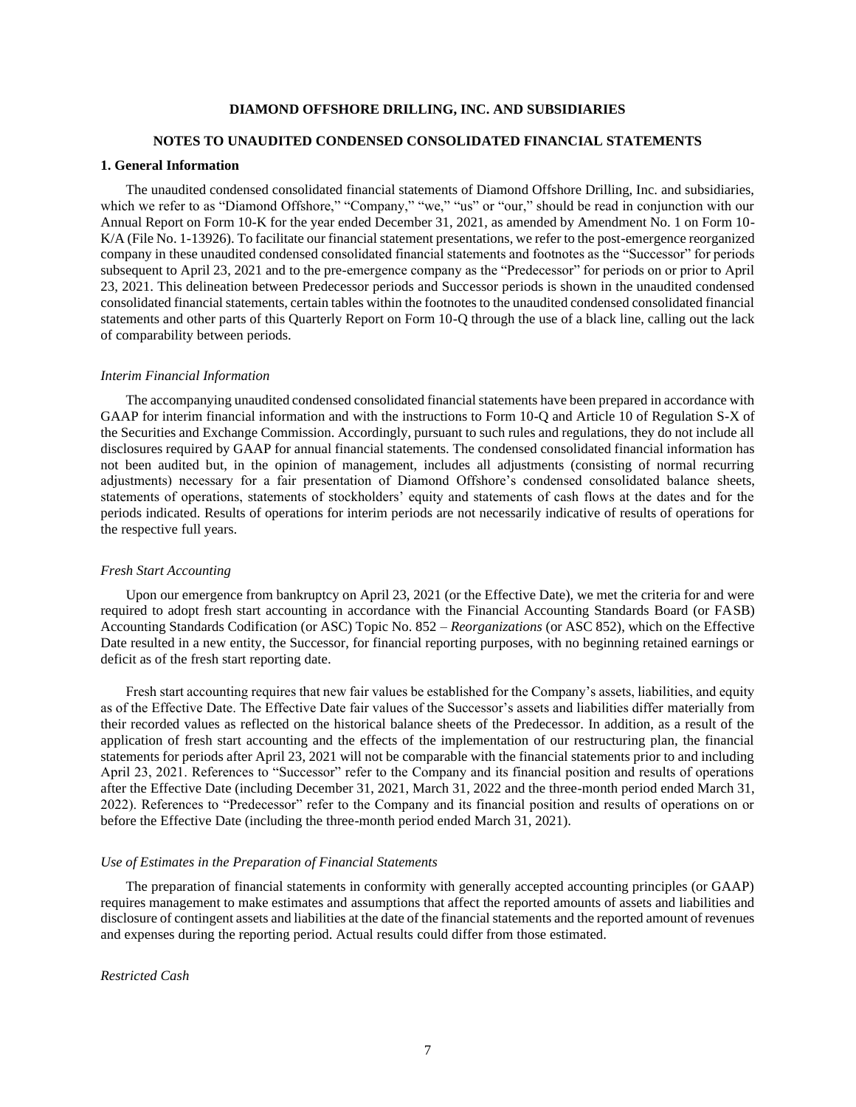### <span id="page-6-0"></span>**NOTES TO UNAUDITED CONDENSED CONSOLIDATED FINANCIAL STATEMENTS**

### **1. General Information**

The unaudited condensed consolidated financial statements of Diamond Offshore Drilling, Inc. and subsidiaries, which we refer to as "Diamond Offshore," "Company," "we," "us" or "our," should be read in conjunction with our Annual Report on Form 10-K for the year ended December 31, 2021, as amended by Amendment No. 1 on Form 10- K/A (File No. 1-13926). To facilitate our financial statement presentations, we refer to the post-emergence reorganized company in these unaudited condensed consolidated financial statements and footnotes as the "Successor" for periods subsequent to April 23, 2021 and to the pre-emergence company as the "Predecessor" for periods on or prior to April 23, 2021. This delineation between Predecessor periods and Successor periods is shown in the unaudited condensed consolidated financial statements, certain tables within the footnotes to the unaudited condensed consolidated financial statements and other parts of this Quarterly Report on Form 10-Q through the use of a black line, calling out the lack of comparability between periods.

#### *Interim Financial Information*

The accompanying unaudited condensed consolidated financial statements have been prepared in accordance with GAAP for interim financial information and with the instructions to Form 10-Q and Article 10 of Regulation S-X of the Securities and Exchange Commission. Accordingly, pursuant to such rules and regulations, they do not include all disclosures required by GAAP for annual financial statements. The condensed consolidated financial information has not been audited but, in the opinion of management, includes all adjustments (consisting of normal recurring adjustments) necessary for a fair presentation of Diamond Offshore's condensed consolidated balance sheets, statements of operations, statements of stockholders' equity and statements of cash flows at the dates and for the periods indicated. Results of operations for interim periods are not necessarily indicative of results of operations for the respective full years.

### *Fresh Start Accounting*

Upon our emergence from bankruptcy on April 23, 2021 (or the Effective Date), we met the criteria for and were required to adopt fresh start accounting in accordance with the Financial Accounting Standards Board (or FASB) Accounting Standards Codification (or ASC) Topic No. 852 – *Reorganizations* (or ASC 852), which on the Effective Date resulted in a new entity, the Successor, for financial reporting purposes, with no beginning retained earnings or deficit as of the fresh start reporting date.

Fresh start accounting requires that new fair values be established for the Company's assets, liabilities, and equity as of the Effective Date. The Effective Date fair values of the Successor's assets and liabilities differ materially from their recorded values as reflected on the historical balance sheets of the Predecessor. In addition, as a result of the application of fresh start accounting and the effects of the implementation of our restructuring plan, the financial statements for periods after April 23, 2021 will not be comparable with the financial statements prior to and including April 23, 2021. References to "Successor" refer to the Company and its financial position and results of operations after the Effective Date (including December 31, 2021, March 31, 2022 and the three-month period ended March 31, 2022). References to "Predecessor" refer to the Company and its financial position and results of operations on or before the Effective Date (including the three-month period ended March 31, 2021).

#### *Use of Estimates in the Preparation of Financial Statements*

The preparation of financial statements in conformity with generally accepted accounting principles (or GAAP) requires management to make estimates and assumptions that affect the reported amounts of assets and liabilities and disclosure of contingent assets and liabilities at the date of the financial statements and the reported amount of revenues and expenses during the reporting period. Actual results could differ from those estimated.

## *Restricted Cash*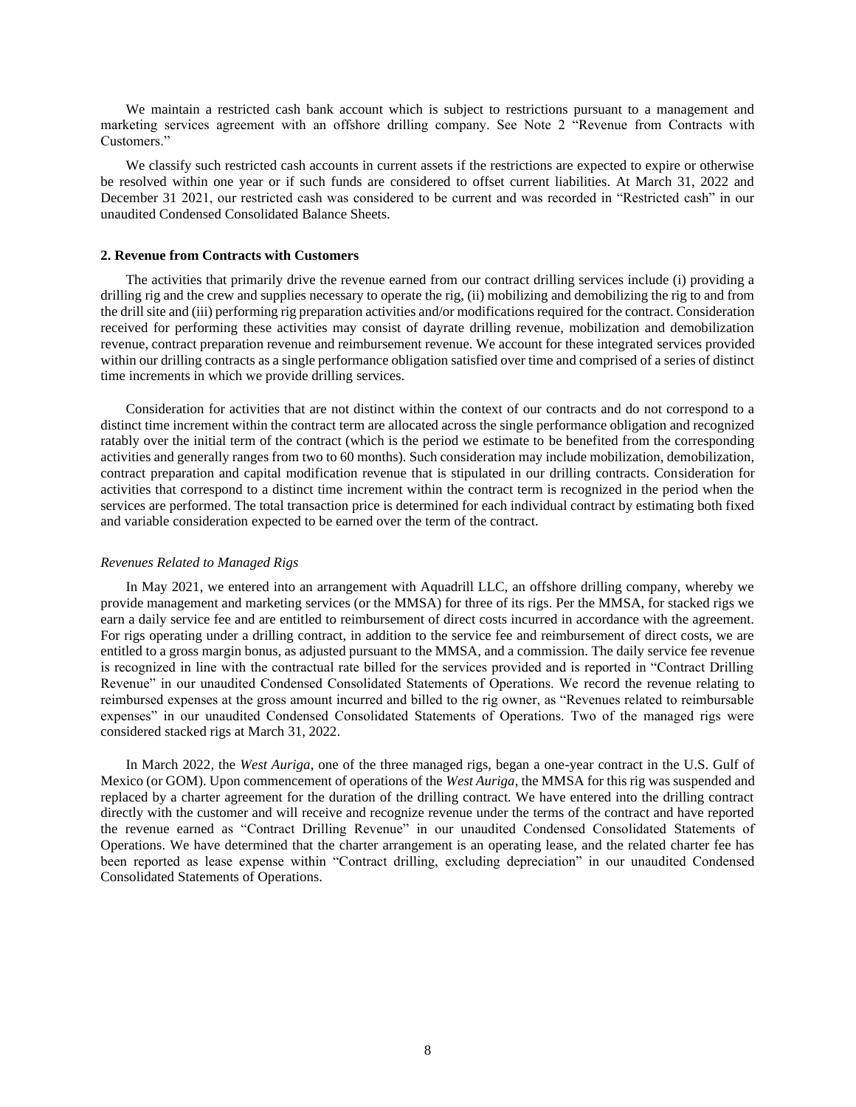We maintain a restricted cash bank account which is subject to restrictions pursuant to a management and marketing services agreement with an offshore drilling company. See Note 2 "Revenue from Contracts with Customers."

We classify such restricted cash accounts in current assets if the restrictions are expected to expire or otherwise be resolved within one year or if such funds are considered to offset current liabilities. At March 31, 2022 and December 31 2021, our restricted cash was considered to be current and was recorded in "Restricted cash" in our unaudited Condensed Consolidated Balance Sheets.

### **2. Revenue from Contracts with Customers**

The activities that primarily drive the revenue earned from our contract drilling services include (i) providing a drilling rig and the crew and supplies necessary to operate the rig, (ii) mobilizing and demobilizing the rig to and from the drill site and (iii) performing rig preparation activities and/or modifications required for the contract. Consideration received for performing these activities may consist of dayrate drilling revenue, mobilization and demobilization revenue, contract preparation revenue and reimbursement revenue. We account for these integrated services provided within our drilling contracts as a single performance obligation satisfied over time and comprised of a series of distinct time increments in which we provide drilling services.

Consideration for activities that are not distinct within the context of our contracts and do not correspond to a distinct time increment within the contract term are allocated across the single performance obligation and recognized ratably over the initial term of the contract (which is the period we estimate to be benefited from the corresponding activities and generally ranges from two to 60 months). Such consideration may include mobilization, demobilization, contract preparation and capital modification revenue that is stipulated in our drilling contracts. Consideration for activities that correspond to a distinct time increment within the contract term is recognized in the period when the services are performed. The total transaction price is determined for each individual contract by estimating both fixed and variable consideration expected to be earned over the term of the contract.

#### *Revenues Related to Managed Rigs*

In May 2021, we entered into an arrangement with Aquadrill LLC, an offshore drilling company, whereby we provide management and marketing services (or the MMSA) for three of its rigs. Per the MMSA, for stacked rigs we earn a daily service fee and are entitled to reimbursement of direct costs incurred in accordance with the agreement. For rigs operating under a drilling contract, in addition to the service fee and reimbursement of direct costs, we are entitled to a gross margin bonus, as adjusted pursuant to the MMSA, and a commission. The daily service fee revenue is recognized in line with the contractual rate billed for the services provided and is reported in "Contract Drilling Revenue" in our unaudited Condensed Consolidated Statements of Operations. We record the revenue relating to reimbursed expenses at the gross amount incurred and billed to the rig owner, as "Revenues related to reimbursable expenses" in our unaudited Condensed Consolidated Statements of Operations. Two of the managed rigs were considered stacked rigs at March 31, 2022.

In March 2022, the *West Auriga*, one of the three managed rigs, began a one-year contract in the U.S. Gulf of Mexico (or GOM). Upon commencement of operations of the *West Auriga*, the MMSA for this rig was suspended and replaced by a charter agreement for the duration of the drilling contract. We have entered into the drilling contract directly with the customer and will receive and recognize revenue under the terms of the contract and have reported the revenue earned as "Contract Drilling Revenue" in our unaudited Condensed Consolidated Statements of Operations. We have determined that the charter arrangement is an operating lease, and the related charter fee has been reported as lease expense within "Contract drilling, excluding depreciation" in our unaudited Condensed Consolidated Statements of Operations.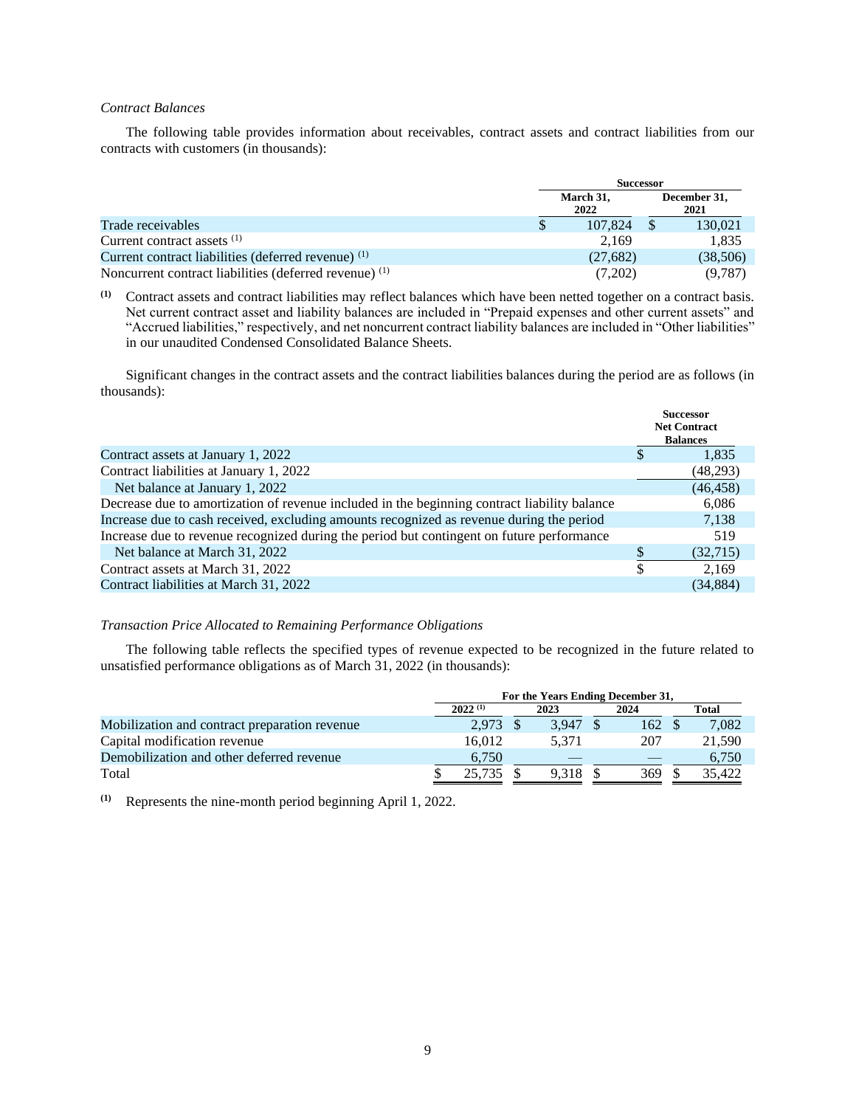## *Contract Balances*

The following table provides information about receivables, contract assets and contract liabilities from our contracts with customers (in thousands):

|                                                                   | <b>Successor</b> |                   |  |                      |  |
|-------------------------------------------------------------------|------------------|-------------------|--|----------------------|--|
|                                                                   |                  | March 31,<br>2022 |  | December 31,<br>2021 |  |
| Trade receivables                                                 |                  | 107.824           |  | 130,021              |  |
| Current contract assets <sup>(1)</sup>                            |                  | 2.169             |  | 1,835                |  |
| Current contract liabilities (deferred revenue) (1)               |                  | (27,682)          |  | (38,506)             |  |
| Noncurrent contract liabilities (deferred revenue) <sup>(1)</sup> |                  | (7,202)           |  | (9,787)              |  |

**(1)** Contract assets and contract liabilities may reflect balances which have been netted together on a contract basis. Net current contract asset and liability balances are included in "Prepaid expenses and other current assets" and "Accrued liabilities," respectively, and net noncurrent contract liability balances are included in "Other liabilities" in our unaudited Condensed Consolidated Balance Sheets.

Significant changes in the contract assets and the contract liabilities balances during the period are as follows (in thousands):

|                                                                                              | <b>Successor</b><br><b>Net Contract</b><br><b>Balances</b> |
|----------------------------------------------------------------------------------------------|------------------------------------------------------------|
| Contract assets at January 1, 2022                                                           | 1,835                                                      |
| Contract liabilities at January 1, 2022                                                      | (48,293)                                                   |
| Net balance at January 1, 2022                                                               | (46, 458)                                                  |
| Decrease due to amortization of revenue included in the beginning contract liability balance | 6,086                                                      |
| Increase due to cash received, excluding amounts recognized as revenue during the period     | 7,138                                                      |
| Increase due to revenue recognized during the period but contingent on future performance    | 519                                                        |
| Net balance at March 31, 2022                                                                | (32,715)                                                   |
| Contract assets at March 31, 2022                                                            | \$<br>2.169                                                |
| Contract liabilities at March 31, 2022                                                       | (34, 884)                                                  |
|                                                                                              |                                                            |

## *Transaction Price Allocated to Remaining Performance Obligations*

The following table reflects the specified types of revenue expected to be recognized in the future related to unsatisfied performance obligations as of March 31, 2022 (in thousands):

|                                               | For the Years Ending December 31, |  |       |  |      |  |        |  |  |  |  |
|-----------------------------------------------|-----------------------------------|--|-------|--|------|--|--------|--|--|--|--|
|                                               | $2022^{(1)}$<br>2024<br>2023      |  |       |  |      |  | Total  |  |  |  |  |
| Mobilization and contract preparation revenue | 2.973                             |  | 3.947 |  | 162  |  | 7,082  |  |  |  |  |
| Capital modification revenue                  | 16.012                            |  | 5.371 |  | 207  |  | 21.590 |  |  |  |  |
| Demobilization and other deferred revenue     | 6.750                             |  |       |  |      |  | 6.750  |  |  |  |  |
| Total                                         | 25.735                            |  | 9.318 |  | 369. |  | 35.422 |  |  |  |  |

**(1)** Represents the nine-month period beginning April 1, 2022.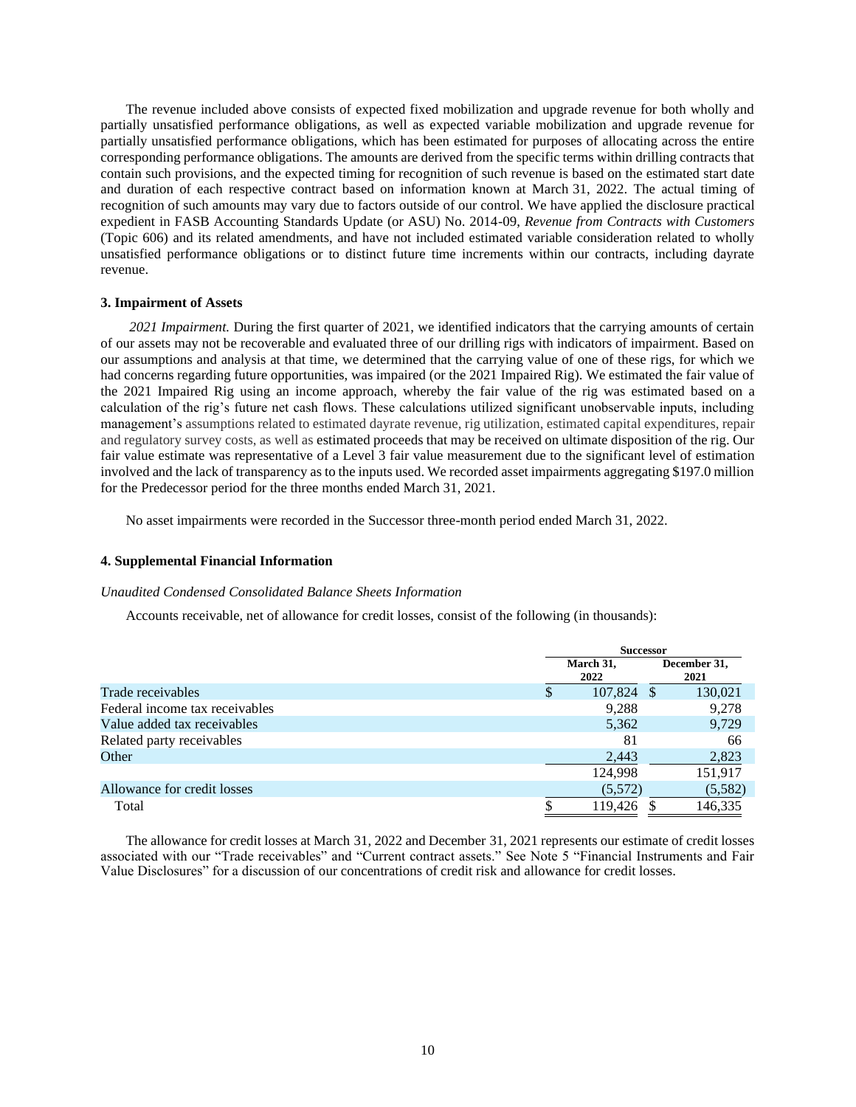The revenue included above consists of expected fixed mobilization and upgrade revenue for both wholly and partially unsatisfied performance obligations, as well as expected variable mobilization and upgrade revenue for partially unsatisfied performance obligations, which has been estimated for purposes of allocating across the entire corresponding performance obligations. The amounts are derived from the specific terms within drilling contracts that contain such provisions, and the expected timing for recognition of such revenue is based on the estimated start date and duration of each respective contract based on information known at March 31, 2022. The actual timing of recognition of such amounts may vary due to factors outside of our control. We have applied the disclosure practical expedient in FASB Accounting Standards Update (or ASU) No. 2014-09, *Revenue from Contracts with Customers*  (Topic 606) and its related amendments, and have not included estimated variable consideration related to wholly unsatisfied performance obligations or to distinct future time increments within our contracts, including dayrate revenue.

#### **3. Impairment of Assets**

*2021 Impairment.* During the first quarter of 2021, we identified indicators that the carrying amounts of certain of our assets may not be recoverable and evaluated three of our drilling rigs with indicators of impairment. Based on our assumptions and analysis at that time, we determined that the carrying value of one of these rigs, for which we had concerns regarding future opportunities, was impaired (or the 2021 Impaired Rig). We estimated the fair value of the 2021 Impaired Rig using an income approach, whereby the fair value of the rig was estimated based on a calculation of the rig's future net cash flows. These calculations utilized significant unobservable inputs, including management's assumptions related to estimated dayrate revenue, rig utilization, estimated capital expenditures, repair and regulatory survey costs, as well as estimated proceeds that may be received on ultimate disposition of the rig. Our fair value estimate was representative of a Level 3 fair value measurement due to the significant level of estimation involved and the lack of transparency as to the inputs used. We recorded asset impairments aggregating \$197.0 million for the Predecessor period for the three months ended March 31, 2021.

No asset impairments were recorded in the Successor three-month period ended March 31, 2022.

## **4. Supplemental Financial Information**

#### *Unaudited Condensed Consolidated Balance Sheets Information*

Accounts receivable, net of allowance for credit losses, consist of the following (in thousands):

|                                |                   | <b>Successor</b>     |
|--------------------------------|-------------------|----------------------|
|                                | March 31,<br>2022 | December 31,<br>2021 |
| Trade receivables              | 107,824           | 130,021<br>-S        |
| Federal income tax receivables | 9,288             | 9,278                |
| Value added tax receivables    | 5,362             | 9,729                |
| Related party receivables      | 81                | 66                   |
| Other                          | 2,443             | 2,823                |
|                                | 124,998           | 151,917              |
| Allowance for credit losses    | (5,572)           | (5,582)              |
| Total                          | 119,426           | 146,335              |

The allowance for credit losses at March 31, 2022 and December 31, 2021 represents our estimate of credit losses associated with our "Trade receivables" and "Current contract assets." See Note 5 "Financial Instruments and Fair Value Disclosures" for a discussion of our concentrations of credit risk and allowance for credit losses.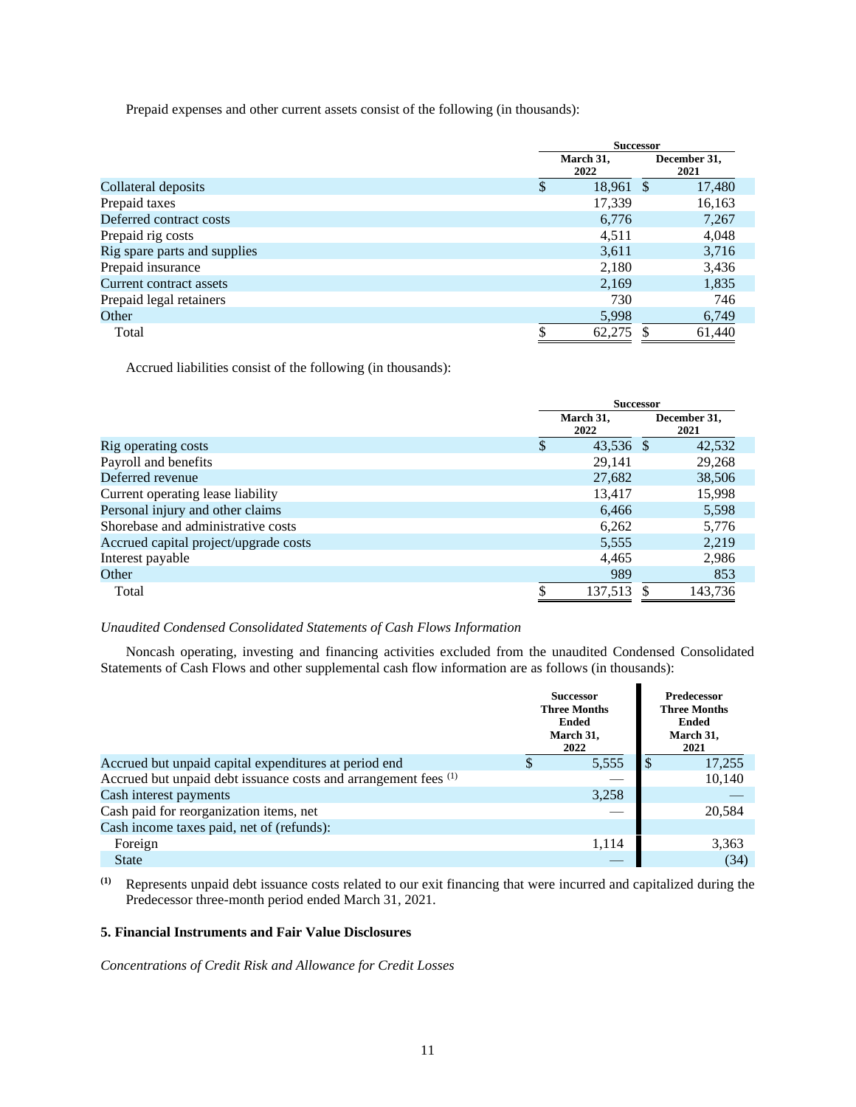Prepaid expenses and other current assets consist of the following (in thousands):

|                              | <b>Successor</b> |                   |  |                      |  |
|------------------------------|------------------|-------------------|--|----------------------|--|
|                              |                  | March 31,<br>2022 |  | December 31,<br>2021 |  |
| Collateral deposits          | S                | 18,961 \$         |  | 17,480               |  |
| Prepaid taxes                |                  | 17,339            |  | 16,163               |  |
| Deferred contract costs      |                  | 6,776             |  | 7,267                |  |
| Prepaid rig costs            |                  | 4,511             |  | 4,048                |  |
| Rig spare parts and supplies |                  | 3,611             |  | 3,716                |  |
| Prepaid insurance            |                  | 2,180             |  | 3,436                |  |
| Current contract assets      |                  | 2,169             |  | 1,835                |  |
| Prepaid legal retainers      |                  | 730               |  | 746                  |  |
| Other                        |                  | 5,998             |  | 6,749                |  |
| Total                        |                  | 62,275            |  | 61,440               |  |

Accrued liabilities consist of the following (in thousands):

|                                       | <b>Successor</b>  |                      |  |  |  |
|---------------------------------------|-------------------|----------------------|--|--|--|
|                                       | March 31,<br>2022 | December 31,<br>2021 |  |  |  |
| Rig operating costs                   | 43,536 \$         | 42,532               |  |  |  |
| Payroll and benefits                  | 29,141            | 29,268               |  |  |  |
| Deferred revenue                      | 27,682            | 38,506               |  |  |  |
| Current operating lease liability     | 13,417            | 15,998               |  |  |  |
| Personal injury and other claims      | 6,466             | 5,598                |  |  |  |
| Shorebase and administrative costs    | 6,262             | 5,776                |  |  |  |
| Accrued capital project/upgrade costs | 5,555             | 2,219                |  |  |  |
| Interest payable                      | 4,465             | 2,986                |  |  |  |
| Other                                 | 989               | 853                  |  |  |  |
| Total                                 | 137,513           | 143,736              |  |  |  |

# *Unaudited Condensed Consolidated Statements of Cash Flows Information*

Noncash operating, investing and financing activities excluded from the unaudited Condensed Consolidated Statements of Cash Flows and other supplemental cash flow information are as follows (in thousands):

|                                                                 | <b>Successor</b><br><b>Three Months</b><br><b>Ended</b><br>March 31,<br>2022 | <b>Predecessor</b><br><b>Three Months</b><br><b>Ended</b><br>March 31,<br>2021 |
|-----------------------------------------------------------------|------------------------------------------------------------------------------|--------------------------------------------------------------------------------|
| Accrued but unpaid capital expenditures at period end           | 5,555                                                                        | 17,255                                                                         |
| Accrued but unpaid debt issuance costs and arrangement fees (1) |                                                                              | 10,140                                                                         |
| Cash interest payments                                          | 3,258                                                                        |                                                                                |
| Cash paid for reorganization items, net                         |                                                                              | 20.584                                                                         |
| Cash income taxes paid, net of (refunds):                       |                                                                              |                                                                                |
| Foreign                                                         | 1,114                                                                        | 3,363                                                                          |
| <b>State</b>                                                    |                                                                              | (34)                                                                           |

**(1)** Represents unpaid debt issuance costs related to our exit financing that were incurred and capitalized during the Predecessor three-month period ended March 31, 2021.

# **5. Financial Instruments and Fair Value Disclosures**

*Concentrations of Credit Risk and Allowance for Credit Losses*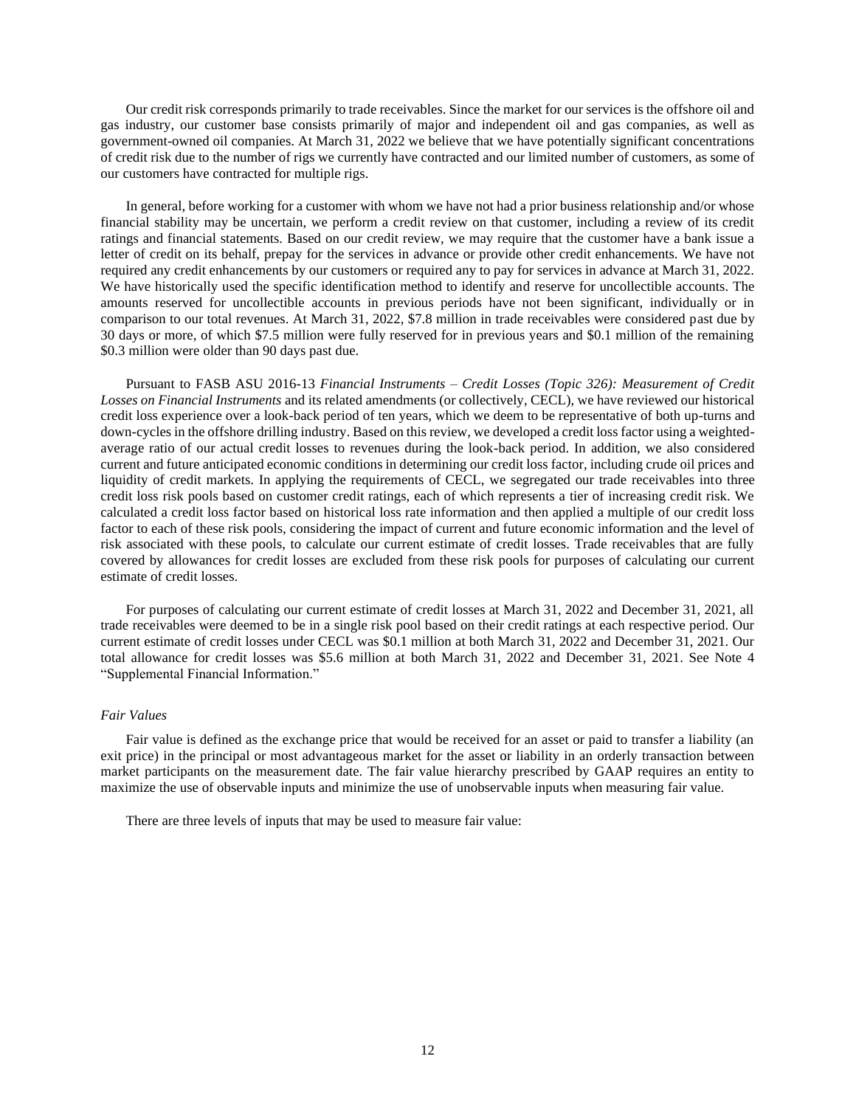Our credit risk corresponds primarily to trade receivables. Since the market for our services is the offshore oil and gas industry, our customer base consists primarily of major and independent oil and gas companies, as well as government-owned oil companies. At March 31, 2022 we believe that we have potentially significant concentrations of credit risk due to the number of rigs we currently have contracted and our limited number of customers, as some of our customers have contracted for multiple rigs.

In general, before working for a customer with whom we have not had a prior business relationship and/or whose financial stability may be uncertain, we perform a credit review on that customer, including a review of its credit ratings and financial statements. Based on our credit review, we may require that the customer have a bank issue a letter of credit on its behalf, prepay for the services in advance or provide other credit enhancements. We have not required any credit enhancements by our customers or required any to pay for services in advance at March 31, 2022. We have historically used the specific identification method to identify and reserve for uncollectible accounts. The amounts reserved for uncollectible accounts in previous periods have not been significant, individually or in comparison to our total revenues. At March 31, 2022, \$7.8 million in trade receivables were considered past due by 30 days or more, of which \$7.5 million were fully reserved for in previous years and \$0.1 million of the remaining \$0.3 million were older than 90 days past due.

Pursuant to FASB ASU 2016-13 *Financial Instruments – Credit Losses (Topic 326): Measurement of Credit Losses on Financial Instruments* and its related amendments (or collectively, CECL), we have reviewed our historical credit loss experience over a look-back period of ten years, which we deem to be representative of both up-turns and down-cycles in the offshore drilling industry. Based on this review, we developed a credit loss factor using a weightedaverage ratio of our actual credit losses to revenues during the look-back period. In addition, we also considered current and future anticipated economic conditions in determining our credit loss factor, including crude oil prices and liquidity of credit markets. In applying the requirements of CECL, we segregated our trade receivables into three credit loss risk pools based on customer credit ratings, each of which represents a tier of increasing credit risk. We calculated a credit loss factor based on historical loss rate information and then applied a multiple of our credit loss factor to each of these risk pools, considering the impact of current and future economic information and the level of risk associated with these pools, to calculate our current estimate of credit losses. Trade receivables that are fully covered by allowances for credit losses are excluded from these risk pools for purposes of calculating our current estimate of credit losses.

For purposes of calculating our current estimate of credit losses at March 31, 2022 and December 31, 2021, all trade receivables were deemed to be in a single risk pool based on their credit ratings at each respective period. Our current estimate of credit losses under CECL was \$0.1 million at both March 31, 2022 and December 31, 2021. Our total allowance for credit losses was \$5.6 million at both March 31, 2022 and December 31, 2021. See Note 4 "Supplemental Financial Information."

## *Fair Values*

Fair value is defined as the exchange price that would be received for an asset or paid to transfer a liability (an exit price) in the principal or most advantageous market for the asset or liability in an orderly transaction between market participants on the measurement date. The fair value hierarchy prescribed by GAAP requires an entity to maximize the use of observable inputs and minimize the use of unobservable inputs when measuring fair value.

There are three levels of inputs that may be used to measure fair value: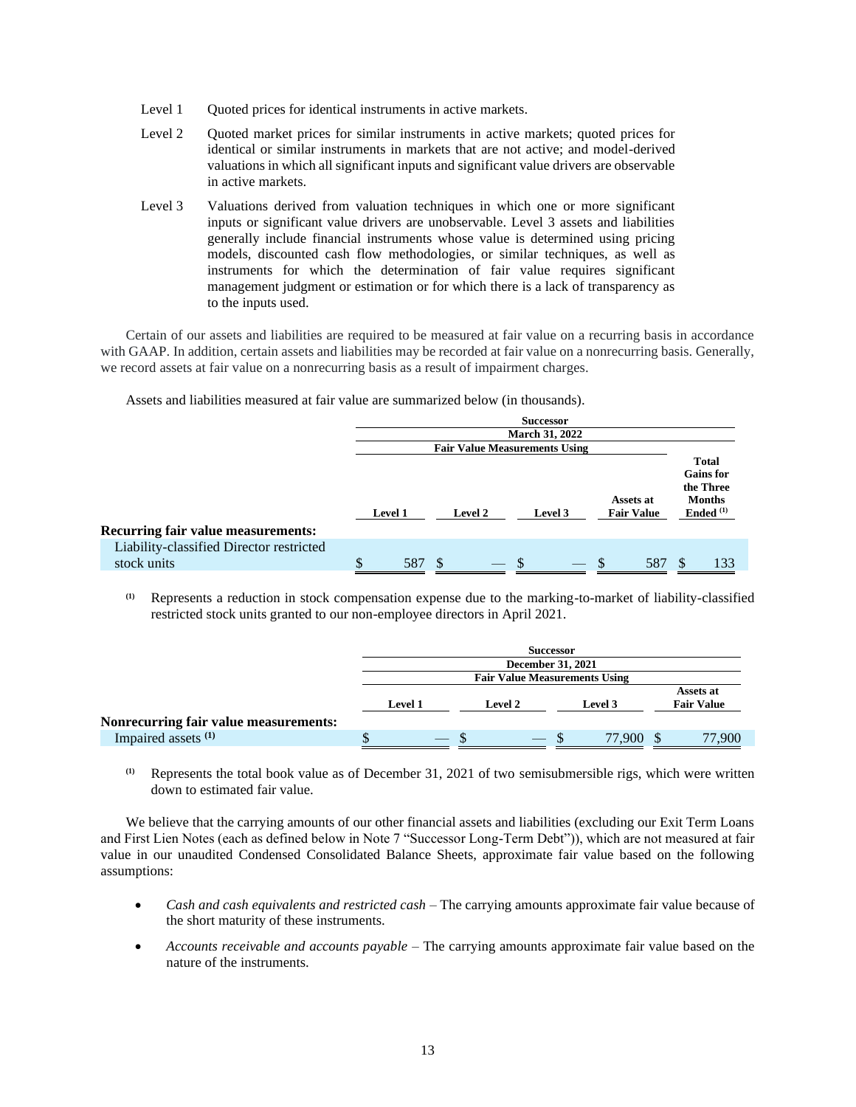- Level 1 Quoted prices for identical instruments in active markets.
- Level 2 Quoted market prices for similar instruments in active markets; quoted prices for identical or similar instruments in markets that are not active; and model-derived valuations in which all significant inputs and significant value drivers are observable in active markets.
- Level 3 Valuations derived from valuation techniques in which one or more significant inputs or significant value drivers are unobservable. Level 3 assets and liabilities generally include financial instruments whose value is determined using pricing models, discounted cash flow methodologies, or similar techniques, as well as instruments for which the determination of fair value requires significant management judgment or estimation or for which there is a lack of transparency as to the inputs used.

Certain of our assets and liabilities are required to be measured at fair value on a recurring basis in accordance with GAAP. In addition, certain assets and liabilities may be recorded at fair value on a nonrecurring basis. Generally, we record assets at fair value on a nonrecurring basis as a result of impairment charges.

Assets and liabilities measured at fair value are summarized below (in thousands).

|                                           |                                                                        |  |                                      | <b>Successor</b><br><b>March 31, 2022</b> |   |  |     |                                                                                        |  |
|-------------------------------------------|------------------------------------------------------------------------|--|--------------------------------------|-------------------------------------------|---|--|-----|----------------------------------------------------------------------------------------|--|
|                                           |                                                                        |  | <b>Fair Value Measurements Using</b> |                                           |   |  |     |                                                                                        |  |
| <b>Recurring fair value measurements:</b> | Assets at<br><b>Fair Value</b><br><b>Level 1</b><br>Level 3<br>Level 2 |  |                                      |                                           |   |  |     | <b>Total</b><br><b>Gains</b> for<br>the Three<br><b>Months</b><br>Ended <sup>(1)</sup> |  |
| Liability-classified Director restricted  |                                                                        |  |                                      |                                           |   |  |     |                                                                                        |  |
| stock units                               | \$<br>587                                                              |  |                                      |                                           | S |  | 581 | 133                                                                                    |  |

**(1)** Represents a reduction in stock compensation expense due to the marking-to-market of liability-classified restricted stock units granted to our non-employee directors in April 2021.

|                                       | <b>Successor</b>                                                              |                                      |  |   |  |        |  |        |  |  |
|---------------------------------------|-------------------------------------------------------------------------------|--------------------------------------|--|---|--|--------|--|--------|--|--|
|                                       | December 31, 2021                                                             |                                      |  |   |  |        |  |        |  |  |
|                                       |                                                                               | <b>Fair Value Measurements Using</b> |  |   |  |        |  |        |  |  |
|                                       | Assets at<br><b>Fair Value</b><br><b>Level 1</b><br><b>Level 2</b><br>Level 3 |                                      |  |   |  |        |  |        |  |  |
| Nonrecurring fair value measurements: |                                                                               |                                      |  |   |  |        |  |        |  |  |
| Impaired assets <sup>(1)</sup>        |                                                                               | $-$                                  |  | — |  | 77.900 |  | 77,900 |  |  |

**(1)** Represents the total book value as of December 31, 2021 of two semisubmersible rigs, which were written down to estimated fair value.

We believe that the carrying amounts of our other financial assets and liabilities (excluding our Exit Term Loans and First Lien Notes (each as defined below in Note 7 "Successor Long-Term Debt")), which are not measured at fair value in our unaudited Condensed Consolidated Balance Sheets, approximate fair value based on the following assumptions:

- *Cash and cash equivalents and restricted cash –* The carrying amounts approximate fair value because of the short maturity of these instruments.
- *Accounts receivable and accounts payable* The carrying amounts approximate fair value based on the nature of the instruments.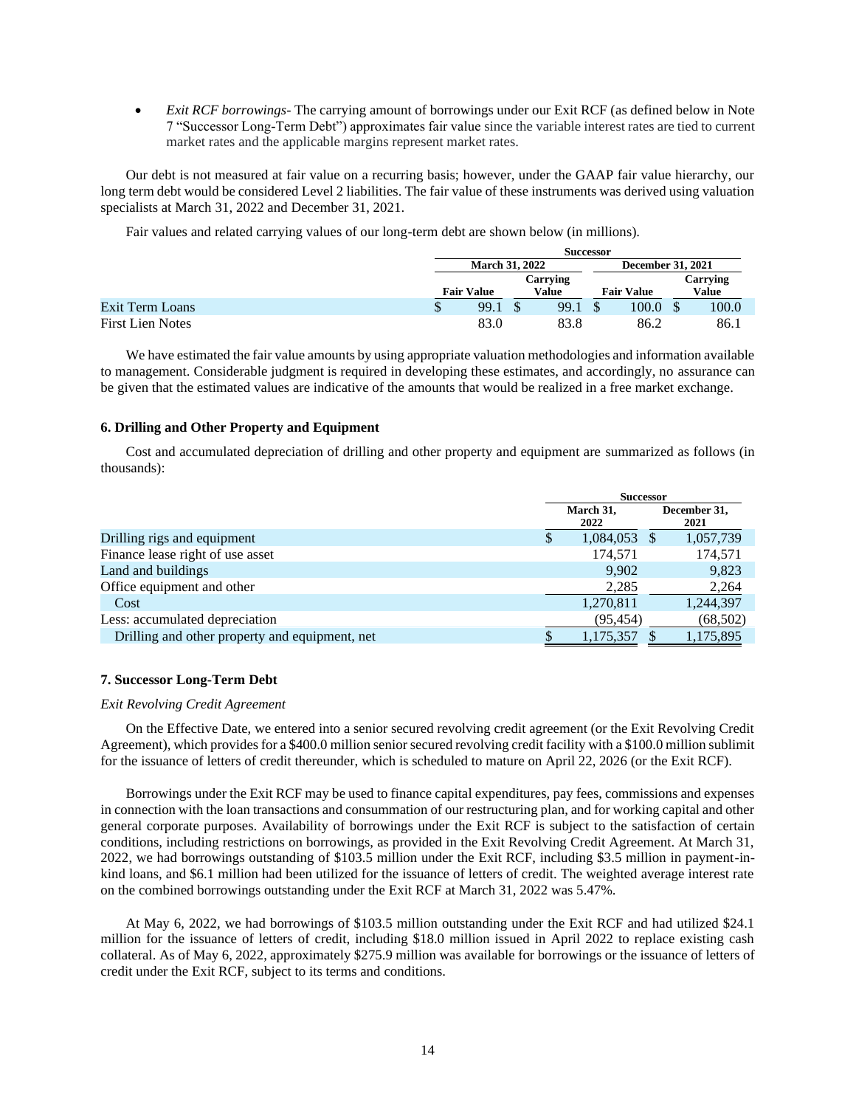• *Exit RCF borrowings*- The carrying amount of borrowings under our Exit RCF (as defined below in Note 7 "Successor Long-Term Debt") approximates fair value since the variable interest rates are tied to current market rates and the applicable margins represent market rates.

Our debt is not measured at fair value on a recurring basis; however, under the GAAP fair value hierarchy, our long term debt would be considered Level 2 liabilities. The fair value of these instruments was derived using valuation specialists at March 31, 2022 and December 31, 2021.

Fair values and related carrying values of our long-term debt are shown below (in millions).

|                         | <b>Successor</b>      |  |       |  |                   |                          |          |  |  |
|-------------------------|-----------------------|--|-------|--|-------------------|--------------------------|----------|--|--|
|                         | <b>March 31, 2022</b> |  |       |  |                   | <b>December 31, 2021</b> |          |  |  |
|                         | Carrying              |  |       |  |                   |                          | Carrying |  |  |
|                         | <b>Fair Value</b>     |  | Value |  | <b>Fair Value</b> |                          | Value    |  |  |
| Exit Term Loans         | 99.1                  |  | 99.1  |  | 100.0             |                          | 100.0    |  |  |
| <b>First Lien Notes</b> | 83.0                  |  | 83.8  |  | 86.2              |                          | 86.1     |  |  |

We have estimated the fair value amounts by using appropriate valuation methodologies and information available to management. Considerable judgment is required in developing these estimates, and accordingly, no assurance can be given that the estimated values are indicative of the amounts that would be realized in a free market exchange.

## **6. Drilling and Other Property and Equipment**

Cost and accumulated depreciation of drilling and other property and equipment are summarized as follows (in thousands):

|                                                | <b>Successor</b> |                   |  |                      |  |
|------------------------------------------------|------------------|-------------------|--|----------------------|--|
|                                                |                  | March 31,<br>2022 |  | December 31,<br>2021 |  |
| Drilling rigs and equipment                    |                  | 1,084,053         |  | 1,057,739            |  |
| Finance lease right of use asset               |                  | 174,571           |  | 174,571              |  |
| Land and buildings                             |                  | 9,902             |  | 9,823                |  |
| Office equipment and other                     |                  | 2,285             |  | 2,264                |  |
| Cost                                           |                  | 1,270,811         |  | 1,244,397            |  |
| Less: accumulated depreciation                 |                  | (95, 454)         |  | (68, 502)            |  |
| Drilling and other property and equipment, net |                  | 1,175,357         |  | 1,175,895            |  |

# **7. Successor Long-Term Debt**

## *Exit Revolving Credit Agreement*

On the Effective Date, we entered into a senior secured revolving credit agreement (or the Exit Revolving Credit Agreement), which provides for a \$400.0 million senior secured revolving credit facility with a \$100.0 million sublimit for the issuance of letters of credit thereunder, which is scheduled to mature on April 22, 2026 (or the Exit RCF).

Borrowings under the Exit RCF may be used to finance capital expenditures, pay fees, commissions and expenses in connection with the loan transactions and consummation of our restructuring plan, and for working capital and other general corporate purposes. Availability of borrowings under the Exit RCF is subject to the satisfaction of certain conditions, including restrictions on borrowings, as provided in the Exit Revolving Credit Agreement. At March 31, 2022, we had borrowings outstanding of \$103.5 million under the Exit RCF, including \$3.5 million in payment-inkind loans, and \$6.1 million had been utilized for the issuance of letters of credit. The weighted average interest rate on the combined borrowings outstanding under the Exit RCF at March 31, 2022 was 5.47%.

At May 6, 2022, we had borrowings of \$103.5 million outstanding under the Exit RCF and had utilized \$24.1 million for the issuance of letters of credit, including \$18.0 million issued in April 2022 to replace existing cash collateral. As of May 6, 2022, approximately \$275.9 million was available for borrowings or the issuance of letters of credit under the Exit RCF, subject to its terms and conditions.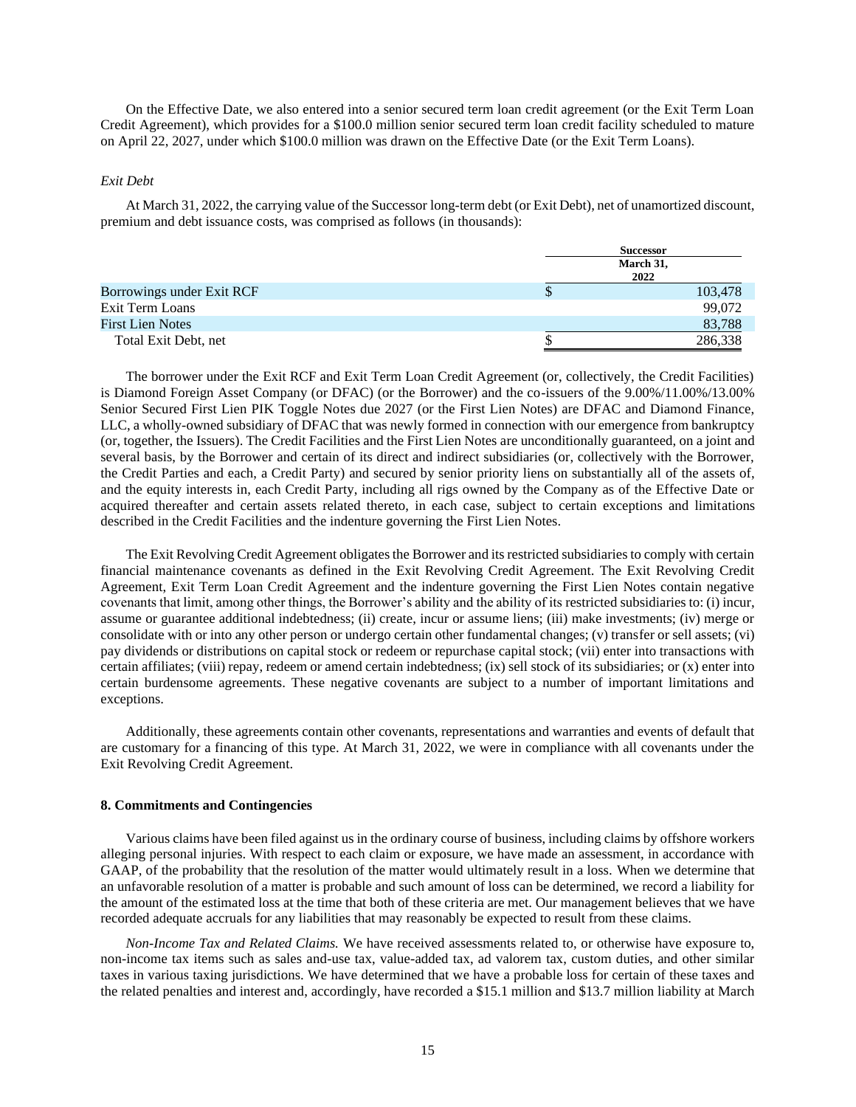On the Effective Date, we also entered into a senior secured term loan credit agreement (or the Exit Term Loan Credit Agreement), which provides for a \$100.0 million senior secured term loan credit facility scheduled to mature on April 22, 2027, under which \$100.0 million was drawn on the Effective Date (or the Exit Term Loans).

### *Exit Debt*

At March 31, 2022, the carrying value of the Successor long-term debt (or Exit Debt), net of unamortized discount, premium and debt issuance costs, was comprised as follows (in thousands):

|                           |   | <b>Successor</b>  |
|---------------------------|---|-------------------|
|                           |   | March 31,<br>2022 |
| Borrowings under Exit RCF | D | 103,478           |
| Exit Term Loans           |   | 99,072            |
| <b>First Lien Notes</b>   |   | 83,788            |
| Total Exit Debt, net      |   | 286,338           |

The borrower under the Exit RCF and Exit Term Loan Credit Agreement (or, collectively, the Credit Facilities) is Diamond Foreign Asset Company (or DFAC) (or the Borrower) and the co-issuers of the 9.00%/11.00%/13.00% Senior Secured First Lien PIK Toggle Notes due 2027 (or the First Lien Notes) are DFAC and Diamond Finance, LLC, a wholly-owned subsidiary of DFAC that was newly formed in connection with our emergence from bankruptcy (or, together, the Issuers). The Credit Facilities and the First Lien Notes are unconditionally guaranteed, on a joint and several basis, by the Borrower and certain of its direct and indirect subsidiaries (or, collectively with the Borrower, the Credit Parties and each, a Credit Party) and secured by senior priority liens on substantially all of the assets of, and the equity interests in, each Credit Party, including all rigs owned by the Company as of the Effective Date or acquired thereafter and certain assets related thereto, in each case, subject to certain exceptions and limitations described in the Credit Facilities and the indenture governing the First Lien Notes.

The Exit Revolving Credit Agreement obligates the Borrower and its restricted subsidiaries to comply with certain financial maintenance covenants as defined in the Exit Revolving Credit Agreement. The Exit Revolving Credit Agreement, Exit Term Loan Credit Agreement and the indenture governing the First Lien Notes contain negative covenants that limit, among other things, the Borrower's ability and the ability of its restricted subsidiaries to: (i) incur, assume or guarantee additional indebtedness; (ii) create, incur or assume liens; (iii) make investments; (iv) merge or consolidate with or into any other person or undergo certain other fundamental changes; (v) transfer or sell assets; (vi) pay dividends or distributions on capital stock or redeem or repurchase capital stock; (vii) enter into transactions with certain affiliates; (viii) repay, redeem or amend certain indebtedness; (ix) sell stock of its subsidiaries; or (x) enter into certain burdensome agreements. These negative covenants are subject to a number of important limitations and exceptions.

Additionally, these agreements contain other covenants, representations and warranties and events of default that are customary for a financing of this type. At March 31, 2022, we were in compliance with all covenants under the Exit Revolving Credit Agreement.

### **8. Commitments and Contingencies**

Various claims have been filed against us in the ordinary course of business, including claims by offshore workers alleging personal injuries. With respect to each claim or exposure, we have made an assessment, in accordance with GAAP, of the probability that the resolution of the matter would ultimately result in a loss. When we determine that an unfavorable resolution of a matter is probable and such amount of loss can be determined, we record a liability for the amount of the estimated loss at the time that both of these criteria are met. Our management believes that we have recorded adequate accruals for any liabilities that may reasonably be expected to result from these claims.

*Non-Income Tax and Related Claims.* We have received assessments related to, or otherwise have exposure to, non-income tax items such as sales and-use tax, value-added tax, ad valorem tax, custom duties, and other similar taxes in various taxing jurisdictions. We have determined that we have a probable loss for certain of these taxes and the related penalties and interest and, accordingly, have recorded a \$15.1 million and \$13.7 million liability at March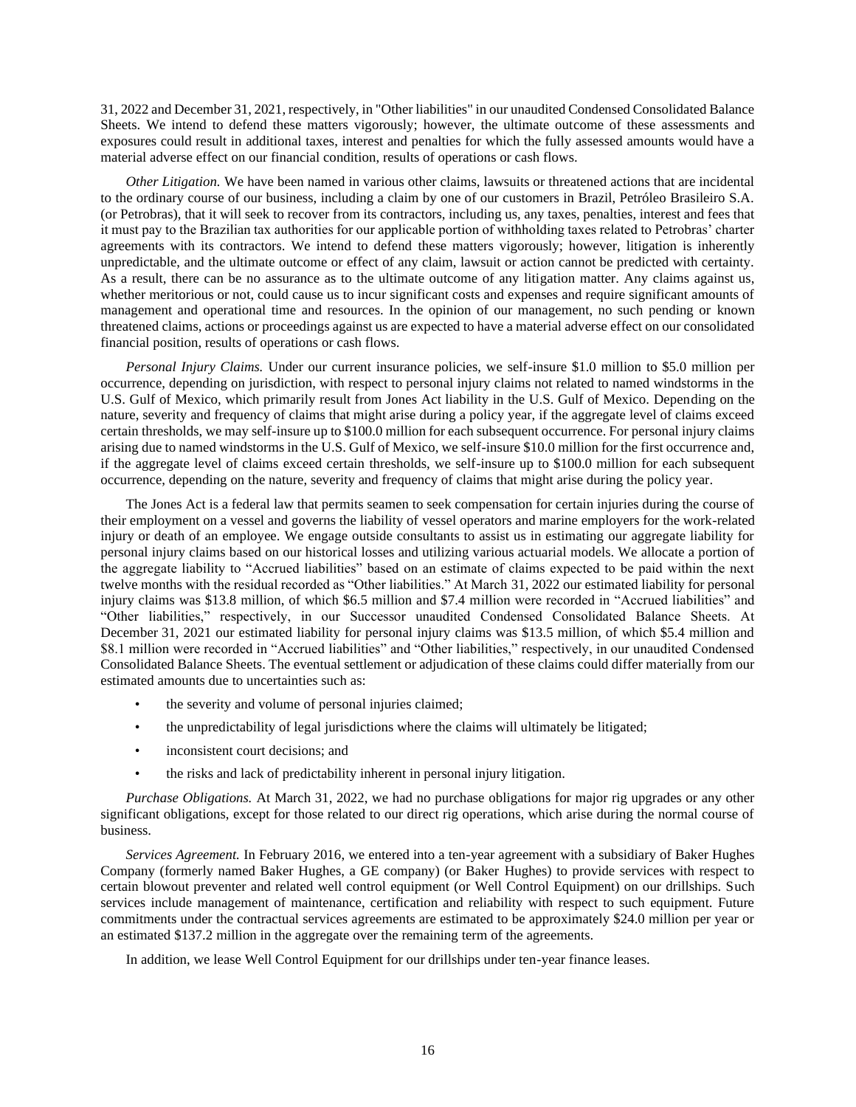31, 2022 and December 31, 2021, respectively, in "Other liabilities" in our unaudited Condensed Consolidated Balance Sheets. We intend to defend these matters vigorously; however, the ultimate outcome of these assessments and exposures could result in additional taxes, interest and penalties for which the fully assessed amounts would have a material adverse effect on our financial condition, results of operations or cash flows.

*Other Litigation.* We have been named in various other claims, lawsuits or threatened actions that are incidental to the ordinary course of our business, including a claim by one of our customers in Brazil, Petróleo Brasileiro S.A. (or Petrobras), that it will seek to recover from its contractors, including us, any taxes, penalties, interest and fees that it must pay to the Brazilian tax authorities for our applicable portion of withholding taxes related to Petrobras' charter agreements with its contractors. We intend to defend these matters vigorously; however, litigation is inherently unpredictable, and the ultimate outcome or effect of any claim, lawsuit or action cannot be predicted with certainty. As a result, there can be no assurance as to the ultimate outcome of any litigation matter. Any claims against us, whether meritorious or not, could cause us to incur significant costs and expenses and require significant amounts of management and operational time and resources. In the opinion of our management, no such pending or known threatened claims, actions or proceedings against us are expected to have a material adverse effect on our consolidated financial position, results of operations or cash flows.

*Personal Injury Claims.* Under our current insurance policies, we self-insure \$1.0 million to \$5.0 million per occurrence, depending on jurisdiction, with respect to personal injury claims not related to named windstorms in the U.S. Gulf of Mexico, which primarily result from Jones Act liability in the U.S. Gulf of Mexico. Depending on the nature, severity and frequency of claims that might arise during a policy year, if the aggregate level of claims exceed certain thresholds, we may self-insure up to \$100.0 million for each subsequent occurrence. For personal injury claims arising due to named windstorms in the U.S. Gulf of Mexico, we self-insure \$10.0 million for the first occurrence and, if the aggregate level of claims exceed certain thresholds, we self-insure up to \$100.0 million for each subsequent occurrence, depending on the nature, severity and frequency of claims that might arise during the policy year.

The Jones Act is a federal law that permits seamen to seek compensation for certain injuries during the course of their employment on a vessel and governs the liability of vessel operators and marine employers for the work-related injury or death of an employee. We engage outside consultants to assist us in estimating our aggregate liability for personal injury claims based on our historical losses and utilizing various actuarial models. We allocate a portion of the aggregate liability to "Accrued liabilities" based on an estimate of claims expected to be paid within the next twelve months with the residual recorded as "Other liabilities." At March 31, 2022 our estimated liability for personal injury claims was \$13.8 million, of which \$6.5 million and \$7.4 million were recorded in "Accrued liabilities" and "Other liabilities," respectively, in our Successor unaudited Condensed Consolidated Balance Sheets. At December 31, 2021 our estimated liability for personal injury claims was \$13.5 million, of which \$5.4 million and \$8.1 million were recorded in "Accrued liabilities" and "Other liabilities," respectively, in our unaudited Condensed Consolidated Balance Sheets. The eventual settlement or adjudication of these claims could differ materially from our estimated amounts due to uncertainties such as:

- the severity and volume of personal injuries claimed;
- the unpredictability of legal jurisdictions where the claims will ultimately be litigated;
- inconsistent court decisions; and
- the risks and lack of predictability inherent in personal injury litigation.

*Purchase Obligations.* At March 31, 2022, we had no purchase obligations for major rig upgrades or any other significant obligations, except for those related to our direct rig operations, which arise during the normal course of business.

*Services Agreement.* In February 2016, we entered into a ten-year agreement with a subsidiary of Baker Hughes Company (formerly named Baker Hughes, a GE company) (or Baker Hughes) to provide services with respect to certain blowout preventer and related well control equipment (or Well Control Equipment) on our drillships. Such services include management of maintenance, certification and reliability with respect to such equipment. Future commitments under the contractual services agreements are estimated to be approximately \$24.0 million per year or an estimated \$137.2 million in the aggregate over the remaining term of the agreements.

In addition, we lease Well Control Equipment for our drillships under ten-year finance leases.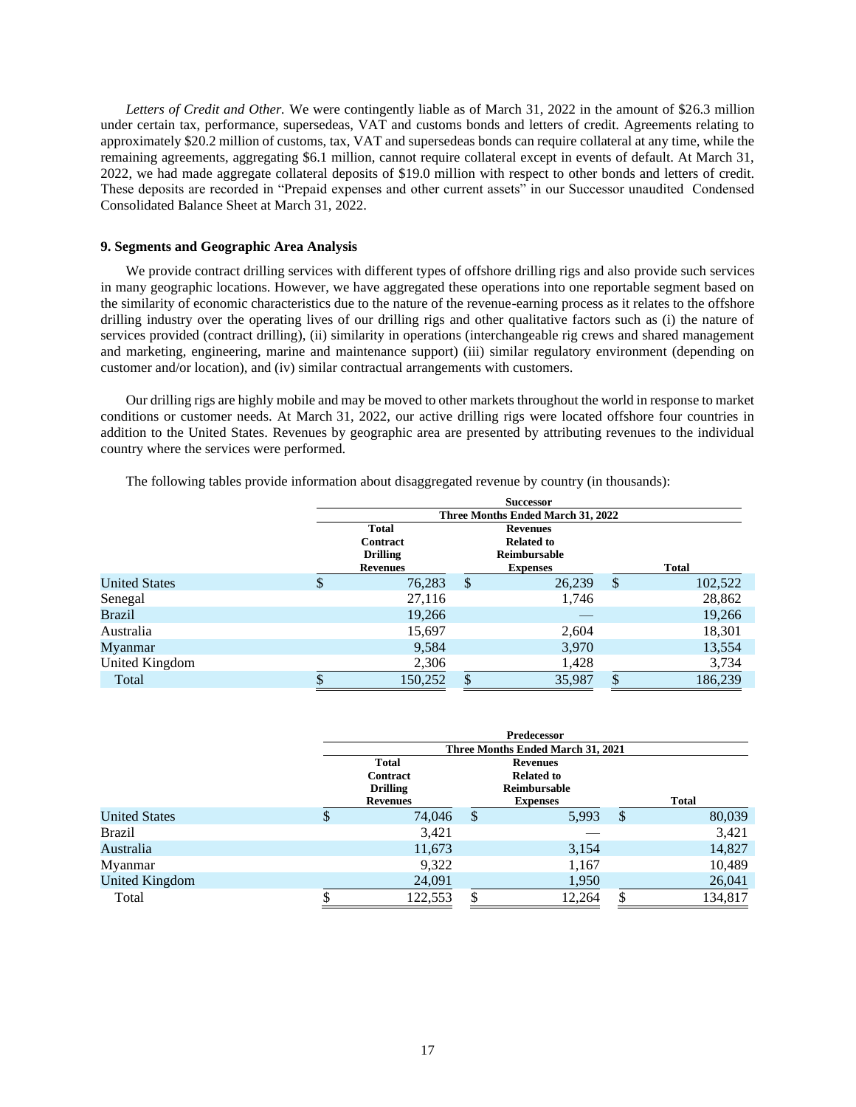*Letters of Credit and Other.* We were contingently liable as of March 31, 2022 in the amount of \$26.3 million under certain tax, performance, supersedeas, VAT and customs bonds and letters of credit. Agreements relating to approximately \$20.2 million of customs, tax, VAT and supersedeas bonds can require collateral at any time, while the remaining agreements, aggregating \$6.1 million, cannot require collateral except in events of default. At March 31, 2022, we had made aggregate collateral deposits of \$19.0 million with respect to other bonds and letters of credit. These deposits are recorded in "Prepaid expenses and other current assets" in our Successor unaudited Condensed Consolidated Balance Sheet at March 31, 2022.

## **9. Segments and Geographic Area Analysis**

We provide contract drilling services with different types of offshore drilling rigs and also provide such services in many geographic locations. However, we have aggregated these operations into one reportable segment based on the similarity of economic characteristics due to the nature of the revenue-earning process as it relates to the offshore drilling industry over the operating lives of our drilling rigs and other qualitative factors such as (i) the nature of services provided (contract drilling), (ii) similarity in operations (interchangeable rig crews and shared management and marketing, engineering, marine and maintenance support) (iii) similar regulatory environment (depending on customer and/or location), and (iv) similar contractual arrangements with customers.

Our drilling rigs are highly mobile and may be moved to other markets throughout the world in response to market conditions or customer needs. At March 31, 2022, our active drilling rigs were located offshore four countries in addition to the United States. Revenues by geographic area are presented by attributing revenues to the individual country where the services were performed.

The following tables provide information about disaggregated revenue by country (in thousands):

|                      |   | <b>Successor</b>                  |    |                   |    |              |  |  |  |  |
|----------------------|---|-----------------------------------|----|-------------------|----|--------------|--|--|--|--|
|                      |   | Three Months Ended March 31, 2022 |    |                   |    |              |  |  |  |  |
|                      |   | <b>Total</b>                      |    | <b>Revenues</b>   |    |              |  |  |  |  |
|                      |   | Contract                          |    | <b>Related to</b> |    |              |  |  |  |  |
|                      |   | <b>Drilling</b>                   |    | Reimbursable      |    |              |  |  |  |  |
|                      |   | <b>Revenues</b>                   |    | <b>Expenses</b>   |    | <b>Total</b> |  |  |  |  |
| <b>United States</b> | D | 76,283                            | \$ | 26,239            | \$ | 102,522      |  |  |  |  |
| Senegal              |   | 27,116                            |    | 1,746             |    | 28,862       |  |  |  |  |
| <b>Brazil</b>        |   | 19,266                            |    |                   |    | 19,266       |  |  |  |  |
| Australia            |   | 15,697                            |    | 2,604             |    | 18,301       |  |  |  |  |
| Myanmar              |   | 9,584                             |    | 3,970             |    | 13,554       |  |  |  |  |
| United Kingdom       |   | 2,306                             |    | 1,428             |    | 3,734        |  |  |  |  |
| Total                |   | 150,252                           | \$ | 35,987            |    | 186.239      |  |  |  |  |

|                      | Predecessor                                    |              |                                                      |    |              |  |  |  |  |
|----------------------|------------------------------------------------|--------------|------------------------------------------------------|----|--------------|--|--|--|--|
|                      |                                                |              | Three Months Ended March 31, 2021                    |    |              |  |  |  |  |
|                      | <b>Total</b>                                   |              | <b>Revenues</b>                                      |    |              |  |  |  |  |
|                      | Contract<br><b>Drilling</b><br><b>Revenues</b> |              | <b>Related to</b><br>Reimbursable<br><b>Expenses</b> |    | <b>Total</b> |  |  |  |  |
| <b>United States</b> | \$<br>74,046                                   | $\mathbb{S}$ | 5,993                                                | \$ | 80,039       |  |  |  |  |
| Brazil               | 3,421                                          |              |                                                      |    | 3,421        |  |  |  |  |
| Australia            | 11,673                                         |              | 3,154                                                |    | 14,827       |  |  |  |  |
| Myanmar              | 9,322                                          |              | 1,167                                                |    | 10,489       |  |  |  |  |
| United Kingdom       | 24,091                                         |              | 1,950                                                |    | 26,041       |  |  |  |  |
| Total                | 122,553                                        |              | 12,264                                               |    | 134,817      |  |  |  |  |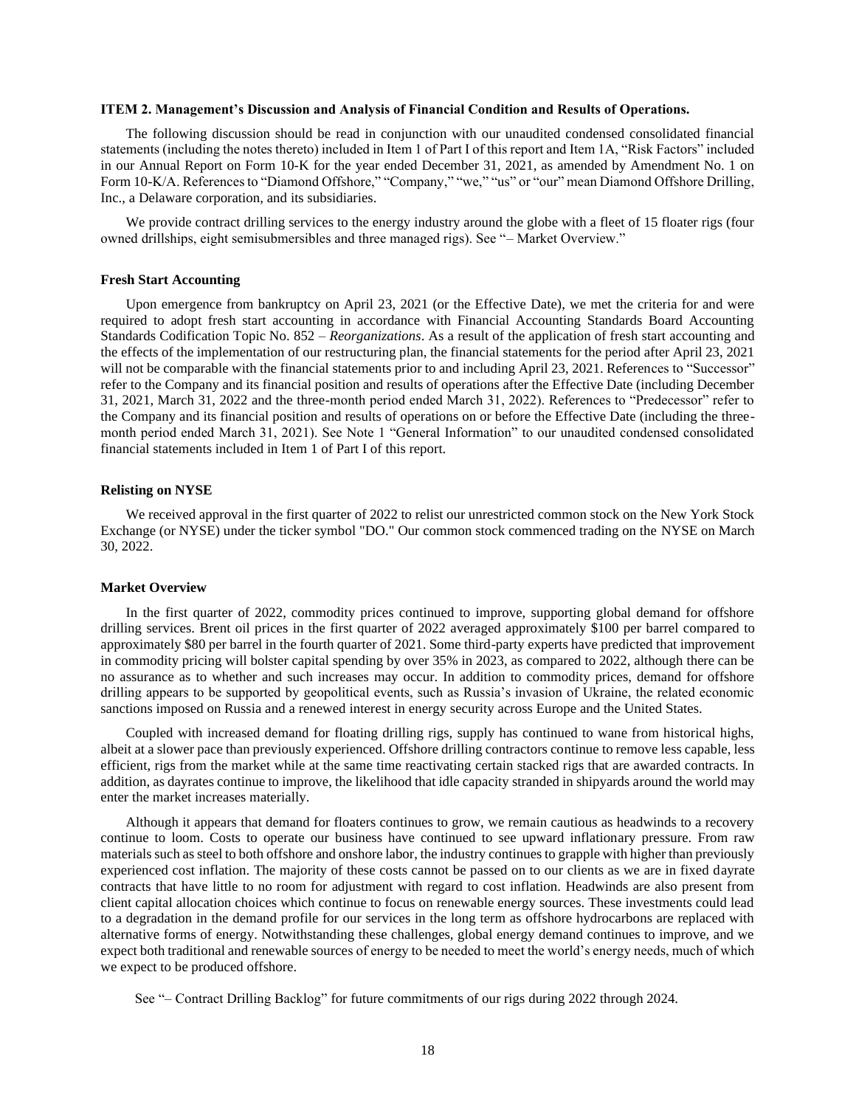### <span id="page-17-0"></span>**ITEM 2. Management's Discussion and Analysis of Financial Condition and Results of Operations.**

The following discussion should be read in conjunction with our unaudited condensed consolidated financial statements (including the notes thereto) included in Item 1 of Part I of this report and Item 1A, "Risk Factors" included in our Annual Report on Form 10-K for the year ended December 31, 2021, as amended by Amendment No. 1 on Form 10-K/A. References to "Diamond Offshore," "Company," "we," "us" or "our" mean Diamond Offshore Drilling, Inc., a Delaware corporation, and its subsidiaries.

We provide contract drilling services to the energy industry around the globe with a fleet of 15 floater rigs (four owned drillships, eight semisubmersibles and three managed rigs). See "– Market Overview."

### **Fresh Start Accounting**

Upon emergence from bankruptcy on April 23, 2021 (or the Effective Date), we met the criteria for and were required to adopt fresh start accounting in accordance with Financial Accounting Standards Board Accounting Standards Codification Topic No. 852 – *Reorganizations*. As a result of the application of fresh start accounting and the effects of the implementation of our restructuring plan, the financial statements for the period after April 23, 2021 will not be comparable with the financial statements prior to and including April 23, 2021. References to "Successor" refer to the Company and its financial position and results of operations after the Effective Date (including December 31, 2021, March 31, 2022 and the three-month period ended March 31, 2022). References to "Predecessor" refer to the Company and its financial position and results of operations on or before the Effective Date (including the threemonth period ended March 31, 2021). See Note 1 "General Information" to our unaudited condensed consolidated financial statements included in Item 1 of Part I of this report.

#### **Relisting on NYSE**

We received approval in the first quarter of 2022 to relist our unrestricted common stock on the New York Stock Exchange (or NYSE) under the ticker symbol "DO." Our common stock commenced trading on the NYSE on March 30, 2022.

#### **Market Overview**

In the first quarter of 2022, commodity prices continued to improve, supporting global demand for offshore drilling services. Brent oil prices in the first quarter of 2022 averaged approximately \$100 per barrel compared to approximately \$80 per barrel in the fourth quarter of 2021. Some third-party experts have predicted that improvement in commodity pricing will bolster capital spending by over 35% in 2023, as compared to 2022, although there can be no assurance as to whether and such increases may occur. In addition to commodity prices, demand for offshore drilling appears to be supported by geopolitical events, such as Russia's invasion of Ukraine, the related economic sanctions imposed on Russia and a renewed interest in energy security across Europe and the United States.

Coupled with increased demand for floating drilling rigs, supply has continued to wane from historical highs, albeit at a slower pace than previously experienced. Offshore drilling contractors continue to remove less capable, less efficient, rigs from the market while at the same time reactivating certain stacked rigs that are awarded contracts. In addition, as dayrates continue to improve, the likelihood that idle capacity stranded in shipyards around the world may enter the market increases materially.

Although it appears that demand for floaters continues to grow, we remain cautious as headwinds to a recovery continue to loom. Costs to operate our business have continued to see upward inflationary pressure. From raw materials such as steel to both offshore and onshore labor, the industry continues to grapple with higher than previously experienced cost inflation. The majority of these costs cannot be passed on to our clients as we are in fixed dayrate contracts that have little to no room for adjustment with regard to cost inflation. Headwinds are also present from client capital allocation choices which continue to focus on renewable energy sources. These investments could lead to a degradation in the demand profile for our services in the long term as offshore hydrocarbons are replaced with alternative forms of energy. Notwithstanding these challenges, global energy demand continues to improve, and we expect both traditional and renewable sources of energy to be needed to meet the world's energy needs, much of which we expect to be produced offshore.

See "– Contract Drilling Backlog" for future commitments of our rigs during 2022 through 2024.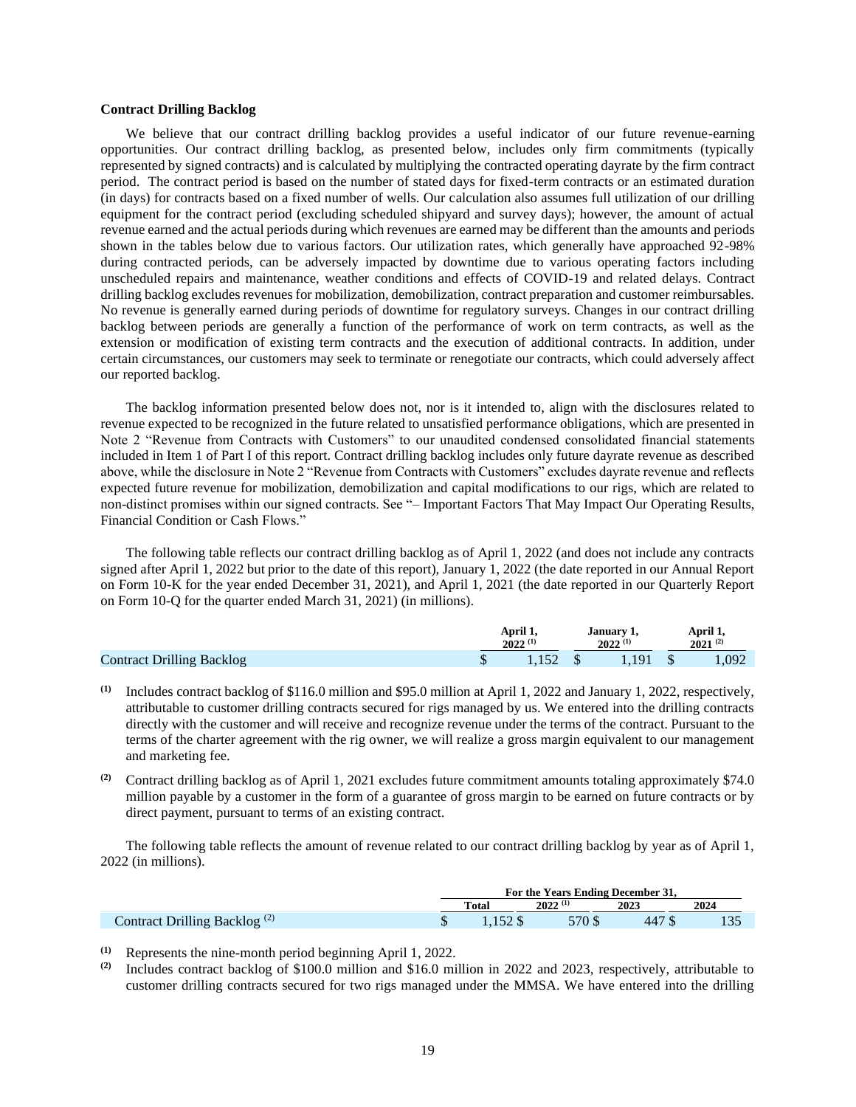### **Contract Drilling Backlog**

We believe that our contract drilling backlog provides a useful indicator of our future revenue-earning opportunities. Our contract drilling backlog, as presented below, includes only firm commitments (typically represented by signed contracts) and is calculated by multiplying the contracted operating dayrate by the firm contract period. The contract period is based on the number of stated days for fixed-term contracts or an estimated duration (in days) for contracts based on a fixed number of wells. Our calculation also assumes full utilization of our drilling equipment for the contract period (excluding scheduled shipyard and survey days); however, the amount of actual revenue earned and the actual periods during which revenues are earned may be different than the amounts and periods shown in the tables below due to various factors. Our utilization rates, which generally have approached 92-98% during contracted periods, can be adversely impacted by downtime due to various operating factors including unscheduled repairs and maintenance, weather conditions and effects of COVID-19 and related delays. Contract drilling backlog excludes revenues for mobilization, demobilization, contract preparation and customer reimbursables. No revenue is generally earned during periods of downtime for regulatory surveys. Changes in our contract drilling backlog between periods are generally a function of the performance of work on term contracts, as well as the extension or modification of existing term contracts and the execution of additional contracts. In addition, under certain circumstances, our customers may seek to terminate or renegotiate our contracts, which could adversely affect our reported backlog.

The backlog information presented below does not, nor is it intended to, align with the disclosures related to revenue expected to be recognized in the future related to unsatisfied performance obligations, which are presented in Note 2 "Revenue from Contracts with Customers" to our unaudited condensed consolidated financial statements included in Item 1 of Part I of this report. Contract drilling backlog includes only future dayrate revenue as described above, while the disclosure in Note 2 "Revenue from Contracts with Customers" excludes dayrate revenue and reflects expected future revenue for mobilization, demobilization and capital modifications to our rigs, which are related to non-distinct promises within our signed contracts. See "– Important Factors That May Impact Our Operating Results, Financial Condition or Cash Flows."

The following table reflects our contract drilling backlog as of April 1, 2022 (and does not include any contracts signed after April 1, 2022 but prior to the date of this report), January 1, 2022 (the date reported in our Annual Report on Form 10-K for the year ended December 31, 2021), and April 1, 2021 (the date reported in our Quarterly Report on Form 10-Q for the quarter ended March 31, 2021) (in millions).

|                                  | April 1,<br>$2022^{(1)}$ |  | January 1,<br>$2022^{(1)}$ | April 1,<br>$2021^{(2)}$ |       |
|----------------------------------|--------------------------|--|----------------------------|--------------------------|-------|
| <b>Contract Drilling Backlog</b> | 1,152                    |  | 1,191                      |                          | 1,092 |

- **(1)** Includes contract backlog of \$116.0 million and \$95.0 million at April 1, 2022 and January 1, 2022, respectively, attributable to customer drilling contracts secured for rigs managed by us. We entered into the drilling contracts directly with the customer and will receive and recognize revenue under the terms of the contract. Pursuant to the terms of the charter agreement with the rig owner, we will realize a gross margin equivalent to our management and marketing fee.
- **(2)** Contract drilling backlog as of April 1, 2021 excludes future commitment amounts totaling approximately \$74.0 million payable by a customer in the form of a guarantee of gross margin to be earned on future contracts or by direct payment, pursuant to terms of an existing contract.

The following table reflects the amount of revenue related to our contract drilling backlog by year as of April 1, 2022 (in millions).

|                                          | For the Years Ending December 31, |              |        |      |  |  |
|------------------------------------------|-----------------------------------|--------------|--------|------|--|--|
|                                          | Total                             | $2022^{(1)}$ | 2023   | 2024 |  |  |
| Contract Drilling Backlog <sup>(2)</sup> | $1.152$ \$                        | 570 \$       | 447 \$ |      |  |  |

(1) Represents the nine-month period beginning April 1, 2022.<br>(2) Includes contract backlog of \$100.0 million and \$16.0 million

**(2)** Includes contract backlog of \$100.0 million and \$16.0 million in 2022 and 2023, respectively, attributable to customer drilling contracts secured for two rigs managed under the MMSA. We have entered into the drilling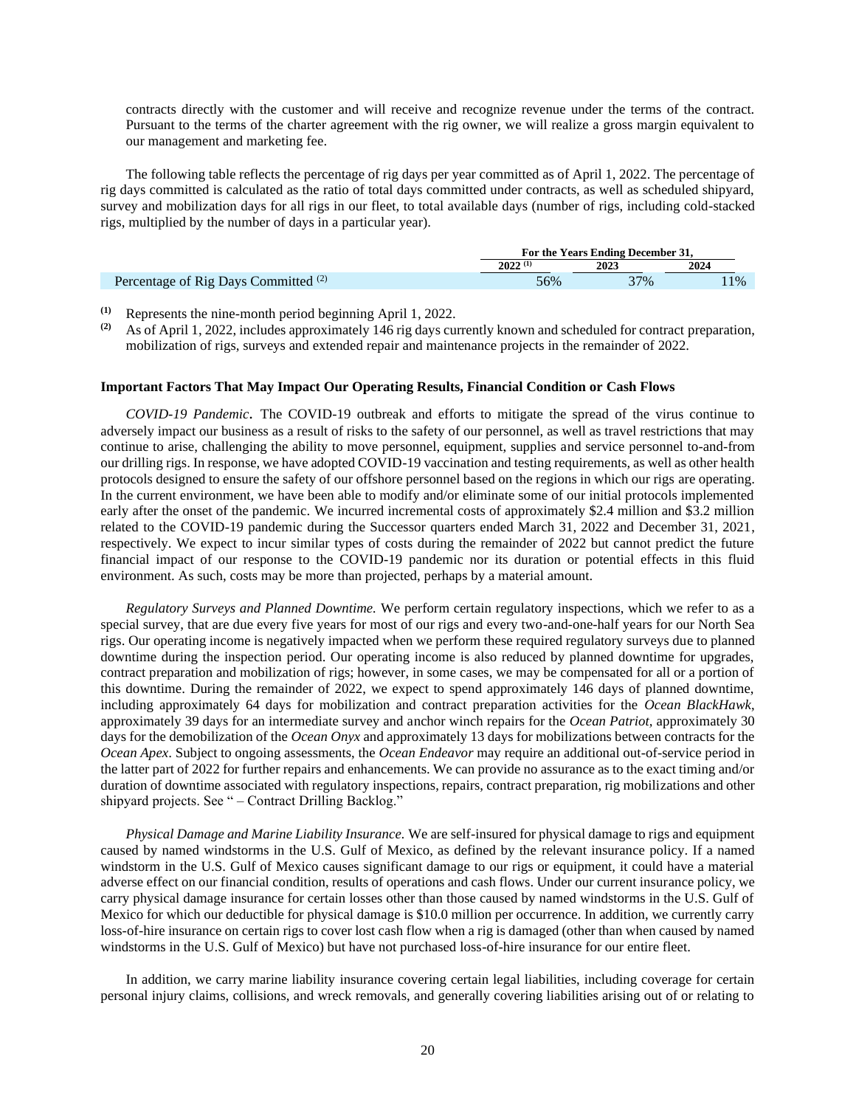contracts directly with the customer and will receive and recognize revenue under the terms of the contract. Pursuant to the terms of the charter agreement with the rig owner, we will realize a gross margin equivalent to our management and marketing fee.

The following table reflects the percentage of rig days per year committed as of April 1, 2022. The percentage of rig days committed is calculated as the ratio of total days committed under contracts, as well as scheduled shipyard, survey and mobilization days for all rigs in our fleet, to total available days (number of rigs, including cold-stacked rigs, multiplied by the number of days in a particular year).

|                                                 | For the Years Ending December 31, |      |       |  |  |
|-------------------------------------------------|-----------------------------------|------|-------|--|--|
|                                                 | $2022^{(1)}$                      | 2023 | 2024  |  |  |
| Percentage of Rig Days Committed <sup>(2)</sup> | 56%                               | 37%  | $1\%$ |  |  |

**(1)** Represents the nine-month period beginning April 1, 2022.

**(2)** As of April 1, 2022, includes approximately 146 rig days currently known and scheduled for contract preparation, mobilization of rigs, surveys and extended repair and maintenance projects in the remainder of 2022.

#### **Important Factors That May Impact Our Operating Results, Financial Condition or Cash Flows**

*COVID-19 Pandemic.* The COVID-19 outbreak and efforts to mitigate the spread of the virus continue to adversely impact our business as a result of risks to the safety of our personnel, as well as travel restrictions that may continue to arise, challenging the ability to move personnel, equipment, supplies and service personnel to-and-from our drilling rigs. In response, we have adopted COVID-19 vaccination and testing requirements, as well as other health protocols designed to ensure the safety of our offshore personnel based on the regions in which our rigs are operating. In the current environment, we have been able to modify and/or eliminate some of our initial protocols implemented early after the onset of the pandemic. We incurred incremental costs of approximately \$2.4 million and \$3.2 million related to the COVID-19 pandemic during the Successor quarters ended March 31, 2022 and December 31, 2021, respectively. We expect to incur similar types of costs during the remainder of 2022 but cannot predict the future financial impact of our response to the COVID-19 pandemic nor its duration or potential effects in this fluid environment. As such, costs may be more than projected, perhaps by a material amount.

*Regulatory Surveys and Planned Downtime.* We perform certain regulatory inspections, which we refer to as a special survey, that are due every five years for most of our rigs and every two-and-one-half years for our North Sea rigs. Our operating income is negatively impacted when we perform these required regulatory surveys due to planned downtime during the inspection period. Our operating income is also reduced by planned downtime for upgrades, contract preparation and mobilization of rigs; however, in some cases, we may be compensated for all or a portion of this downtime. During the remainder of 2022, we expect to spend approximately 146 days of planned downtime, including approximately 64 days for mobilization and contract preparation activities for the *Ocean BlackHawk*, approximately 39 days for an intermediate survey and anchor winch repairs for the *Ocean Patriot,* approximately 30 days for the demobilization of the *Ocean Onyx* and approximately 13 days for mobilizations between contracts for the *Ocean Apex*. Subject to ongoing assessments, the *Ocean Endeavor* may require an additional out-of-service period in the latter part of 2022 for further repairs and enhancements. We can provide no assurance as to the exact timing and/or duration of downtime associated with regulatory inspections, repairs, contract preparation, rig mobilizations and other shipyard projects. See " - Contract Drilling Backlog."

*Physical Damage and Marine Liability Insurance.* We are self-insured for physical damage to rigs and equipment caused by named windstorms in the U.S. Gulf of Mexico, as defined by the relevant insurance policy. If a named windstorm in the U.S. Gulf of Mexico causes significant damage to our rigs or equipment, it could have a material adverse effect on our financial condition, results of operations and cash flows. Under our current insurance policy, we carry physical damage insurance for certain losses other than those caused by named windstorms in the U.S. Gulf of Mexico for which our deductible for physical damage is \$10.0 million per occurrence. In addition, we currently carry loss-of-hire insurance on certain rigs to cover lost cash flow when a rig is damaged (other than when caused by named windstorms in the U.S. Gulf of Mexico) but have not purchased loss-of-hire insurance for our entire fleet.

In addition, we carry marine liability insurance covering certain legal liabilities, including coverage for certain personal injury claims, collisions, and wreck removals, and generally covering liabilities arising out of or relating to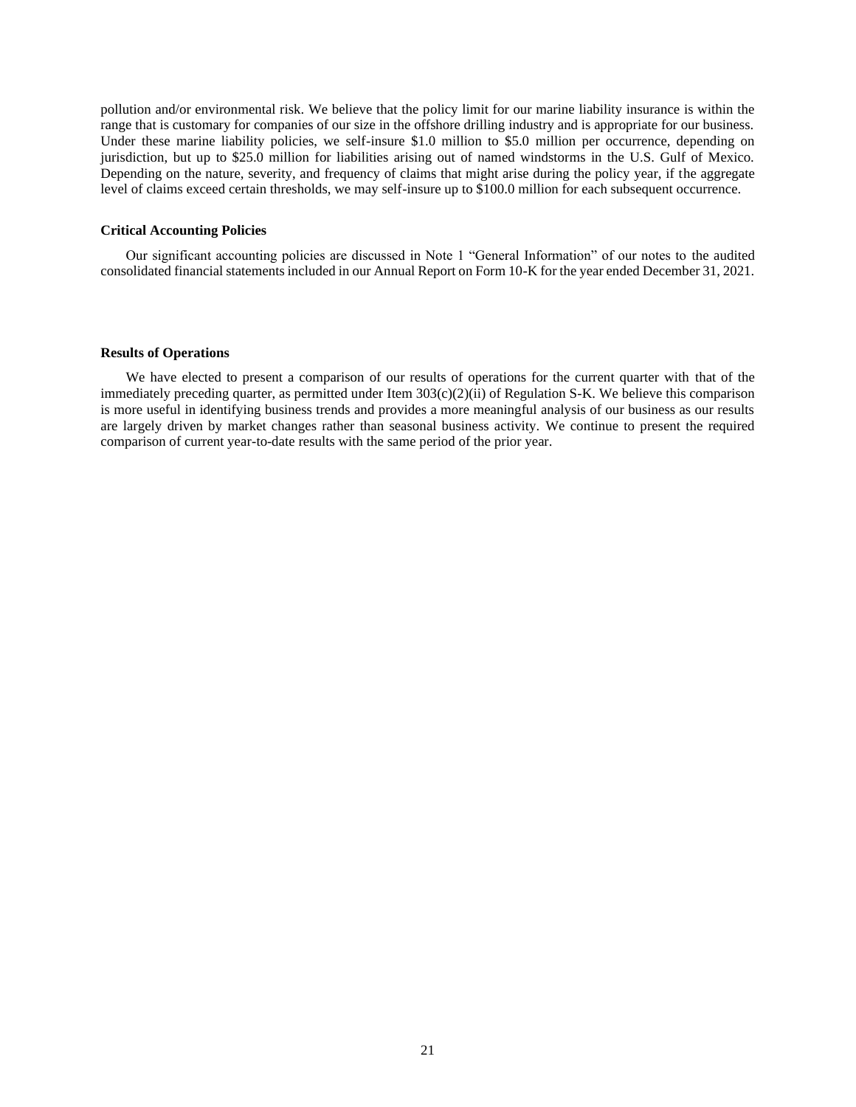pollution and/or environmental risk. We believe that the policy limit for our marine liability insurance is within the range that is customary for companies of our size in the offshore drilling industry and is appropriate for our business. Under these marine liability policies, we self-insure \$1.0 million to \$5.0 million per occurrence, depending on jurisdiction, but up to \$25.0 million for liabilities arising out of named windstorms in the U.S. Gulf of Mexico. Depending on the nature, severity, and frequency of claims that might arise during the policy year, if the aggregate level of claims exceed certain thresholds, we may self-insure up to \$100.0 million for each subsequent occurrence.

### **Critical Accounting Policies**

Our significant accounting policies are discussed in Note 1 "General Information" of our notes to the audited consolidated financial statements included in our Annual Report on Form 10-K for the year ended December 31, 2021.

#### **Results of Operations**

We have elected to present a comparison of our results of operations for the current quarter with that of the immediately preceding quarter, as permitted under Item  $303(c)(2)(ii)$  of Regulation S-K. We believe this comparison is more useful in identifying business trends and provides a more meaningful analysis of our business as our results are largely driven by market changes rather than seasonal business activity. We continue to present the required comparison of current year-to-date results with the same period of the prior year.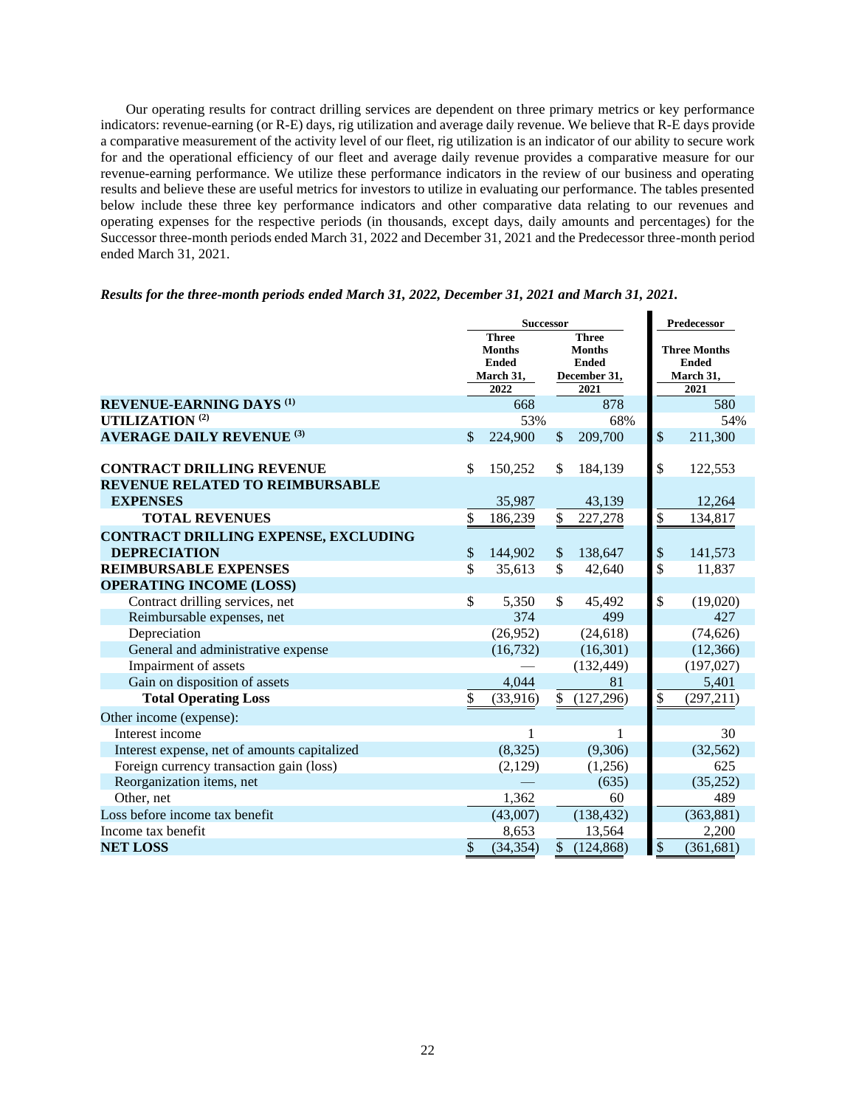Our operating results for contract drilling services are dependent on three primary metrics or key performance indicators: revenue-earning (or R-E) days, rig utilization and average daily revenue. We believe that R-E days provide a comparative measurement of the activity level of our fleet, rig utilization is an indicator of our ability to secure work for and the operational efficiency of our fleet and average daily revenue provides a comparative measure for our revenue-earning performance. We utilize these performance indicators in the review of our business and operating results and believe these are useful metrics for investors to utilize in evaluating our performance. The tables presented below include these three key performance indicators and other comparative data relating to our revenues and operating expenses for the respective periods (in thousands, except days, daily amounts and percentages) for the Successor three-month periods ended March 31, 2022 and December 31, 2021 and the Predecessor three-month period ended March 31, 2021.

|  |  |  |  |  | Results for the three-month periods ended March 31, 2022, December 31, 2021 and March 31, 2021. |  |  |  |
|--|--|--|--|--|-------------------------------------------------------------------------------------------------|--|--|--|
|  |  |  |  |  |                                                                                                 |  |  |  |

|                                              | <b>Successor</b>                                           |           |                          |                                                               |                                                  | Predecessor |  |  |
|----------------------------------------------|------------------------------------------------------------|-----------|--------------------------|---------------------------------------------------------------|--------------------------------------------------|-------------|--|--|
|                                              | <b>Three</b><br><b>Months</b><br><b>Ended</b><br>March 31, |           |                          | <b>Three</b><br><b>Months</b><br><b>Ended</b><br>December 31, | <b>Three Months</b><br><b>Ended</b><br>March 31, |             |  |  |
|                                              |                                                            | 2022      |                          | 2021                                                          |                                                  | 2021        |  |  |
| <b>REVENUE-EARNING DAYS (1)</b>              |                                                            | 668       |                          | 878                                                           |                                                  | 580         |  |  |
| UTILIZATION <sup>(2)</sup>                   |                                                            | 53%       |                          | 68%                                                           |                                                  | 54%         |  |  |
| <b>AVERAGE DAILY REVENUE (3)</b>             | \$                                                         | 224,900   | $\mathcal{S}$            | 209,700                                                       | \$                                               | 211,300     |  |  |
| <b>CONTRACT DRILLING REVENUE</b>             | \$                                                         | 150,252   | \$                       | 184,139                                                       | \$                                               | 122,553     |  |  |
| REVENUE RELATED TO REIMBURSABLE              |                                                            |           |                          |                                                               |                                                  |             |  |  |
| <b>EXPENSES</b>                              |                                                            | 35,987    |                          | 43,139                                                        |                                                  | 12,264      |  |  |
| <b>TOTAL REVENUES</b>                        | \$                                                         | 186,239   | \$                       | 227,278                                                       | \$                                               | 134,817     |  |  |
| CONTRACT DRILLING EXPENSE, EXCLUDING         |                                                            |           |                          |                                                               |                                                  |             |  |  |
| <b>DEPRECIATION</b>                          | \$                                                         | 144,902   | $\mathcal{S}$            | 138,647                                                       | \$                                               | 141,573     |  |  |
| <b>REIMBURSABLE EXPENSES</b>                 | \$                                                         | 35,613    | \$                       | 42,640                                                        | \$                                               | 11,837      |  |  |
| <b>OPERATING INCOME (LOSS)</b>               |                                                            |           |                          |                                                               |                                                  |             |  |  |
| Contract drilling services, net              | \$                                                         | 5,350     | \$                       | 45,492                                                        | \$                                               | (19,020)    |  |  |
| Reimbursable expenses, net                   |                                                            | 374       |                          | 499                                                           |                                                  | 427         |  |  |
| Depreciation                                 |                                                            | (26,952)  |                          | (24, 618)                                                     |                                                  | (74, 626)   |  |  |
| General and administrative expense           |                                                            | (16, 732) |                          | (16, 301)                                                     |                                                  | (12, 366)   |  |  |
| Impairment of assets                         |                                                            |           |                          | (132, 449)                                                    |                                                  | (197, 027)  |  |  |
| Gain on disposition of assets                |                                                            | 4,044     |                          | 81                                                            |                                                  | 5,401       |  |  |
| <b>Total Operating Loss</b>                  | \$                                                         | (33,916)  | \$                       | (127, 296)                                                    | $\frac{1}{2}$                                    | (297, 211)  |  |  |
| Other income (expense):                      |                                                            |           |                          |                                                               |                                                  |             |  |  |
| Interest income                              |                                                            | 1         |                          | 1                                                             |                                                  | 30          |  |  |
| Interest expense, net of amounts capitalized |                                                            | (8,325)   |                          | (9,306)                                                       |                                                  | (32, 562)   |  |  |
| Foreign currency transaction gain (loss)     |                                                            | (2,129)   |                          | (1,256)                                                       |                                                  | 625         |  |  |
| Reorganization items, net                    |                                                            |           |                          | (635)                                                         |                                                  | (35, 252)   |  |  |
| Other, net                                   |                                                            | 1,362     |                          | 60                                                            |                                                  | 489         |  |  |
| Loss before income tax benefit               |                                                            | (43,007)  |                          | (138, 432)                                                    |                                                  | (363, 881)  |  |  |
| Income tax benefit                           |                                                            | 8,653     |                          | 13,564                                                        |                                                  | 2,200       |  |  |
| <b>NET LOSS</b>                              | \$                                                         | (34, 354) | $\overline{\mathcal{S}}$ | (124, 868)                                                    | $\overline{\$}$                                  | (361, 681)  |  |  |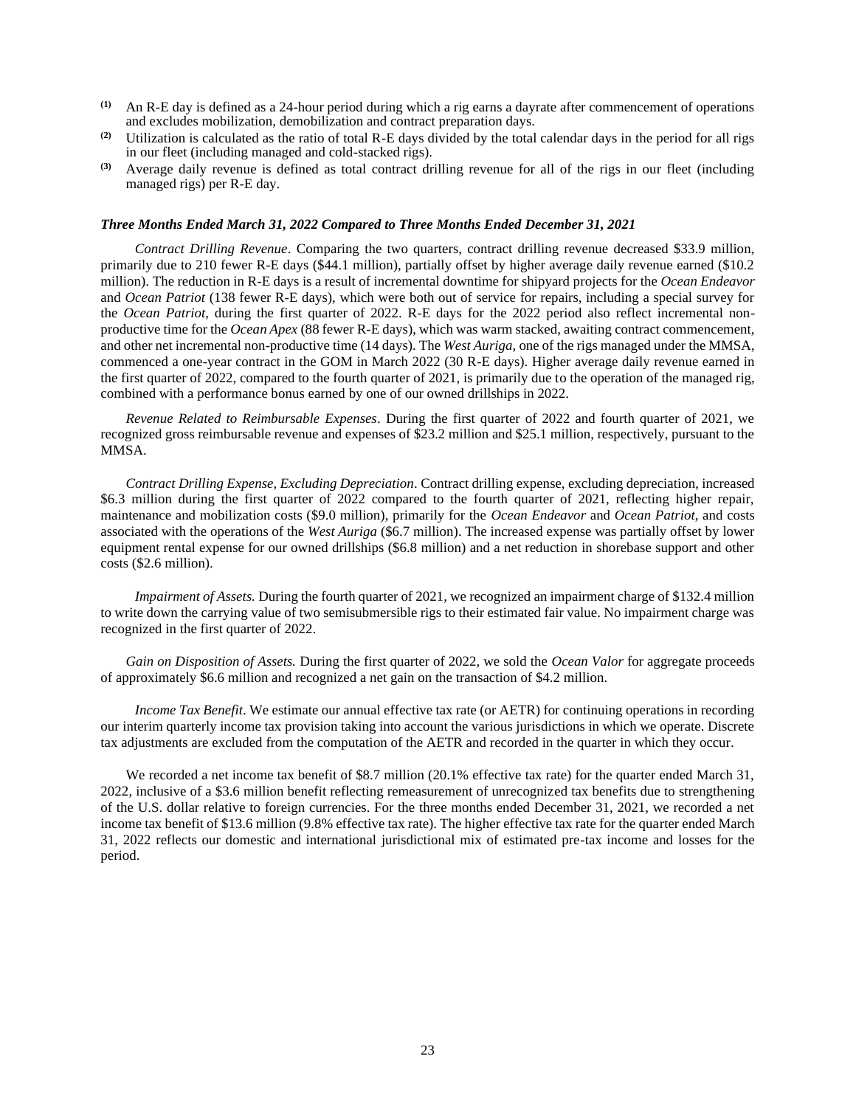- **(1)** An R-E day is defined as a 24-hour period during which a rig earns a dayrate after commencement of operations and excludes mobilization, demobilization and contract preparation days.
- **(2)** Utilization is calculated as the ratio of total R-E days divided by the total calendar days in the period for all rigs in our fleet (including managed and cold-stacked rigs).
- **(3)** Average daily revenue is defined as total contract drilling revenue for all of the rigs in our fleet (including managed rigs) per R-E day.

#### *Three Months Ended March 31, 2022 Compared to Three Months Ended December 31, 2021*

*Contract Drilling Revenue*. Comparing the two quarters, contract drilling revenue decreased \$33.9 million, primarily due to 210 fewer R-E days (\$44.1 million), partially offset by higher average daily revenue earned (\$10.2 million). The reduction in R-E days is a result of incremental downtime for shipyard projects for the *Ocean Endeavor* and *Ocean Patriot* (138 fewer R-E days), which were both out of service for repairs, including a special survey for the *Ocean Patriot*, during the first quarter of 2022. R-E days for the 2022 period also reflect incremental nonproductive time for the *Ocean Apex* (88 fewer R-E days), which was warm stacked, awaiting contract commencement, and other net incremental non-productive time (14 days). The *West Auriga*, one of the rigs managed under the MMSA, commenced a one-year contract in the GOM in March 2022 (30 R-E days). Higher average daily revenue earned in the first quarter of 2022, compared to the fourth quarter of 2021, is primarily due to the operation of the managed rig, combined with a performance bonus earned by one of our owned drillships in 2022.

*Revenue Related to Reimbursable Expenses*. During the first quarter of 2022 and fourth quarter of 2021, we recognized gross reimbursable revenue and expenses of \$23.2 million and \$25.1 million, respectively, pursuant to the MMSA.

*Contract Drilling Expense, Excluding Depreciation*. Contract drilling expense, excluding depreciation, increased \$6.3 million during the first quarter of 2022 compared to the fourth quarter of 2021, reflecting higher repair, maintenance and mobilization costs (\$9.0 million), primarily for the *Ocean Endeavor* and *Ocean Patriot*, and costs associated with the operations of the *West Auriga* (\$6.7 million). The increased expense was partially offset by lower equipment rental expense for our owned drillships (\$6.8 million) and a net reduction in shorebase support and other costs (\$2.6 million).

*Impairment of Assets.* During the fourth quarter of 2021, we recognized an impairment charge of \$132.4 million to write down the carrying value of two semisubmersible rigs to their estimated fair value. No impairment charge was recognized in the first quarter of 2022.

*Gain on Disposition of Assets.* During the first quarter of 2022, we sold the *Ocean Valor* for aggregate proceeds of approximately \$6.6 million and recognized a net gain on the transaction of \$4.2 million.

*Income Tax Benefit*. We estimate our annual effective tax rate (or AETR) for continuing operations in recording our interim quarterly income tax provision taking into account the various jurisdictions in which we operate. Discrete tax adjustments are excluded from the computation of the AETR and recorded in the quarter in which they occur.

We recorded a net income tax benefit of \$8.7 million (20.1% effective tax rate) for the quarter ended March 31, 2022, inclusive of a \$3.6 million benefit reflecting remeasurement of unrecognized tax benefits due to strengthening of the U.S. dollar relative to foreign currencies. For the three months ended December 31, 2021, we recorded a net income tax benefit of \$13.6 million (9.8% effective tax rate). The higher effective tax rate for the quarter ended March 31, 2022 reflects our domestic and international jurisdictional mix of estimated pre-tax income and losses for the period.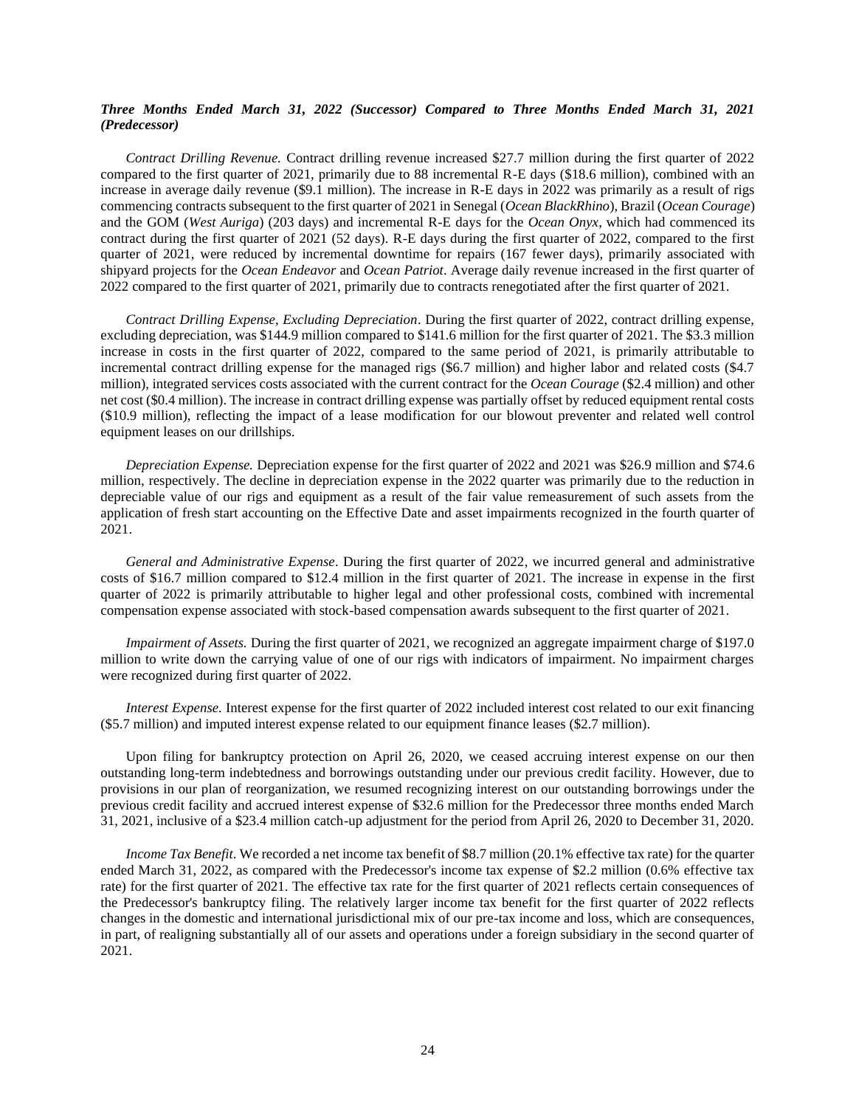## *Three Months Ended March 31, 2022 (Successor) Compared to Three Months Ended March 31, 2021 (Predecessor)*

*Contract Drilling Revenue.* Contract drilling revenue increased \$27.7 million during the first quarter of 2022 compared to the first quarter of 2021, primarily due to 88 incremental R-E days (\$18.6 million), combined with an increase in average daily revenue (\$9.1 million). The increase in R-E days in 2022 was primarily as a result of rigs commencing contracts subsequent to the first quarter of 2021 in Senegal (*Ocean BlackRhino*), Brazil (*Ocean Courage*) and the GOM (*West Auriga*) (203 days) and incremental R-E days for the *Ocean Onyx*, which had commenced its contract during the first quarter of 2021 (52 days). R-E days during the first quarter of 2022, compared to the first quarter of 2021, were reduced by incremental downtime for repairs (167 fewer days), primarily associated with shipyard projects for the *Ocean Endeavor* and *Ocean Patriot*. Average daily revenue increased in the first quarter of 2022 compared to the first quarter of 2021, primarily due to contracts renegotiated after the first quarter of 2021.

*Contract Drilling Expense, Excluding Depreciation*. During the first quarter of 2022, contract drilling expense, excluding depreciation, was \$144.9 million compared to \$141.6 million for the first quarter of 2021. The \$3.3 million increase in costs in the first quarter of 2022, compared to the same period of 2021, is primarily attributable to incremental contract drilling expense for the managed rigs (\$6.7 million) and higher labor and related costs (\$4.7 million), integrated services costs associated with the current contract for the *Ocean Courage* (\$2.4 million) and other net cost (\$0.4 million). The increase in contract drilling expense was partially offset by reduced equipment rental costs (\$10.9 million), reflecting the impact of a lease modification for our blowout preventer and related well control equipment leases on our drillships.

*Depreciation Expense.* Depreciation expense for the first quarter of 2022 and 2021 was \$26.9 million and \$74.6 million, respectively. The decline in depreciation expense in the 2022 quarter was primarily due to the reduction in depreciable value of our rigs and equipment as a result of the fair value remeasurement of such assets from the application of fresh start accounting on the Effective Date and asset impairments recognized in the fourth quarter of 2021.

*General and Administrative Expense*. During the first quarter of 2022, we incurred general and administrative costs of \$16.7 million compared to \$12.4 million in the first quarter of 2021. The increase in expense in the first quarter of 2022 is primarily attributable to higher legal and other professional costs, combined with incremental compensation expense associated with stock-based compensation awards subsequent to the first quarter of 2021.

*Impairment of Assets.* During the first quarter of 2021, we recognized an aggregate impairment charge of \$197.0 million to write down the carrying value of one of our rigs with indicators of impairment. No impairment charges were recognized during first quarter of 2022.

*Interest Expense.* Interest expense for the first quarter of 2022 included interest cost related to our exit financing (\$5.7 million) and imputed interest expense related to our equipment finance leases (\$2.7 million).

Upon filing for bankruptcy protection on April 26, 2020, we ceased accruing interest expense on our then outstanding long-term indebtedness and borrowings outstanding under our previous credit facility. However, due to provisions in our plan of reorganization, we resumed recognizing interest on our outstanding borrowings under the previous credit facility and accrued interest expense of \$32.6 million for the Predecessor three months ended March 31, 2021, inclusive of a \$23.4 million catch-up adjustment for the period from April 26, 2020 to December 31, 2020.

*Income Tax Benefit*. We recorded a net income tax benefit of \$8.7 million (20.1% effective tax rate) for the quarter ended March 31, 2022, as compared with the Predecessor's income tax expense of \$2.2 million (0.6% effective tax rate) for the first quarter of 2021. The effective tax rate for the first quarter of 2021 reflects certain consequences of the Predecessor's bankruptcy filing. The relatively larger income tax benefit for the first quarter of 2022 reflects changes in the domestic and international jurisdictional mix of our pre-tax income and loss, which are consequences, in part, of realigning substantially all of our assets and operations under a foreign subsidiary in the second quarter of 2021.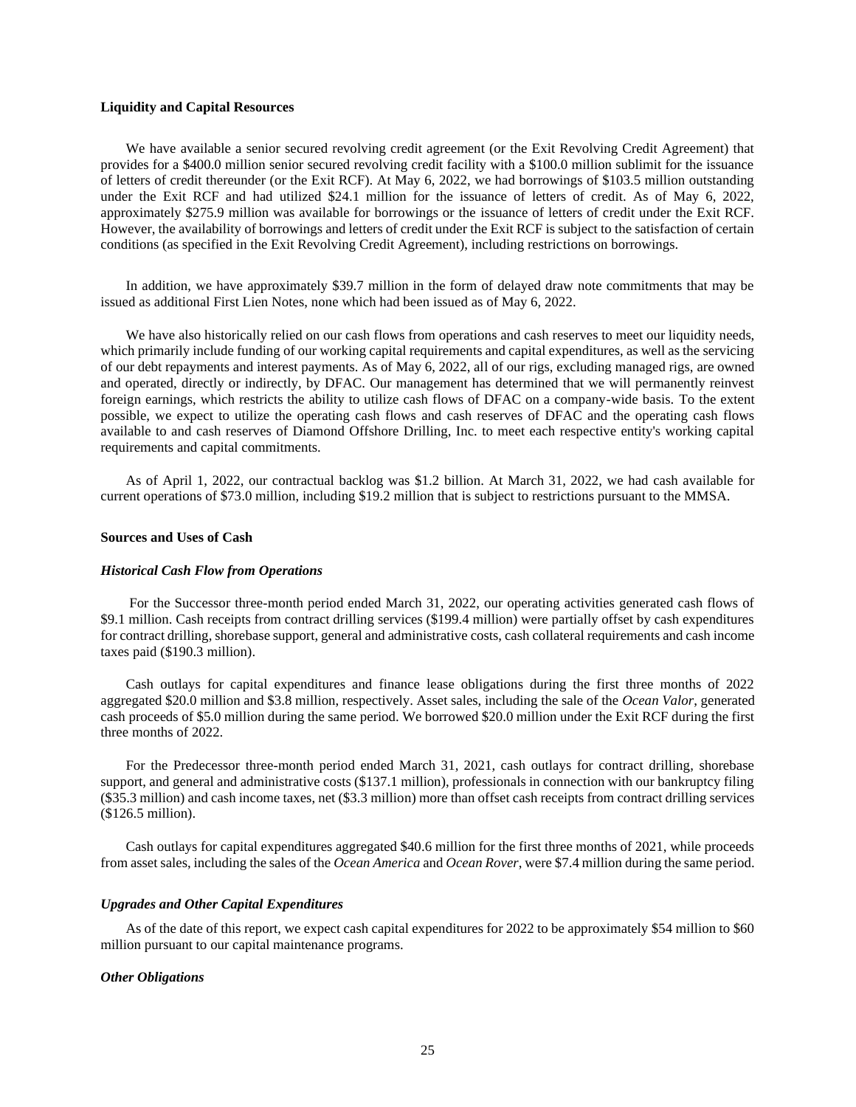## **Liquidity and Capital Resources**

We have available a senior secured revolving credit agreement (or the Exit Revolving Credit Agreement) that provides for a \$400.0 million senior secured revolving credit facility with a \$100.0 million sublimit for the issuance of letters of credit thereunder (or the Exit RCF). At May 6, 2022, we had borrowings of \$103.5 million outstanding under the Exit RCF and had utilized \$24.1 million for the issuance of letters of credit. As of May 6, 2022, approximately \$275.9 million was available for borrowings or the issuance of letters of credit under the Exit RCF. However, the availability of borrowings and letters of credit under the Exit RCF is subject to the satisfaction of certain conditions (as specified in the Exit Revolving Credit Agreement), including restrictions on borrowings.

In addition, we have approximately \$39.7 million in the form of delayed draw note commitments that may be issued as additional First Lien Notes, none which had been issued as of May 6, 2022.

We have also historically relied on our cash flows from operations and cash reserves to meet our liquidity needs, which primarily include funding of our working capital requirements and capital expenditures, as well as the servicing of our debt repayments and interest payments. As of May 6, 2022, all of our rigs, excluding managed rigs, are owned and operated, directly or indirectly, by DFAC. Our management has determined that we will permanently reinvest foreign earnings, which restricts the ability to utilize cash flows of DFAC on a company-wide basis. To the extent possible, we expect to utilize the operating cash flows and cash reserves of DFAC and the operating cash flows available to and cash reserves of Diamond Offshore Drilling, Inc. to meet each respective entity's working capital requirements and capital commitments.

As of April 1, 2022, our contractual backlog was \$1.2 billion. At March 31, 2022, we had cash available for current operations of \$73.0 million, including \$19.2 million that is subject to restrictions pursuant to the MMSA.

## **Sources and Uses of Cash**

#### *Historical Cash Flow from Operations*

For the Successor three-month period ended March 31, 2022, our operating activities generated cash flows of \$9.1 million. Cash receipts from contract drilling services (\$199.4 million) were partially offset by cash expenditures for contract drilling, shorebase support, general and administrative costs, cash collateral requirements and cash income taxes paid (\$190.3 million).

Cash outlays for capital expenditures and finance lease obligations during the first three months of 2022 aggregated \$20.0 million and \$3.8 million, respectively. Asset sales, including the sale of the *Ocean Valor*, generated cash proceeds of \$5.0 million during the same period. We borrowed \$20.0 million under the Exit RCF during the first three months of 2022.

For the Predecessor three-month period ended March 31, 2021, cash outlays for contract drilling, shorebase support, and general and administrative costs (\$137.1 million), professionals in connection with our bankruptcy filing (\$35.3 million) and cash income taxes, net (\$3.3 million) more than offset cash receipts from contract drilling services (\$126.5 million).

Cash outlays for capital expenditures aggregated \$40.6 million for the first three months of 2021, while proceeds from asset sales, including the sales of the *Ocean America* and *Ocean Rover*, were \$7.4 million during the same period.

#### *Upgrades and Other Capital Expenditures*

As of the date of this report, we expect cash capital expenditures for 2022 to be approximately \$54 million to \$60 million pursuant to our capital maintenance programs.

#### *Other Obligations*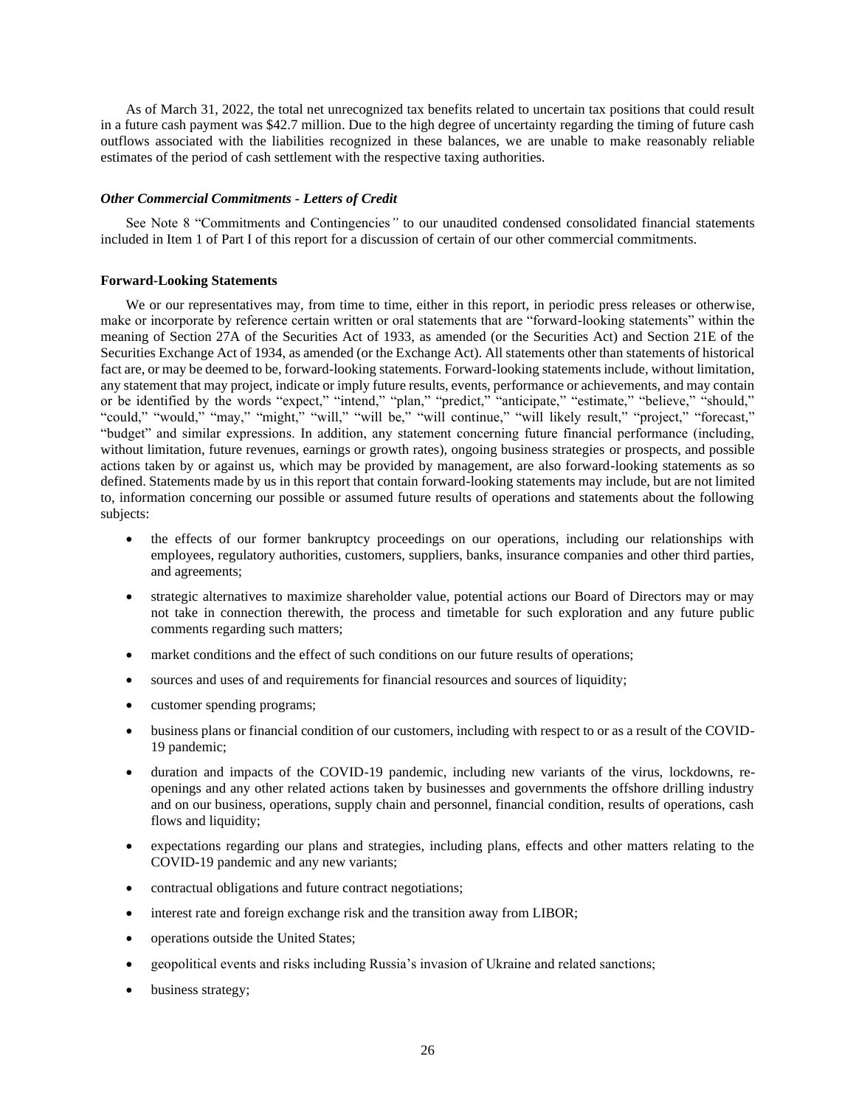As of March 31, 2022, the total net unrecognized tax benefits related to uncertain tax positions that could result in a future cash payment was \$42.7 million. Due to the high degree of uncertainty regarding the timing of future cash outflows associated with the liabilities recognized in these balances, we are unable to make reasonably reliable estimates of the period of cash settlement with the respective taxing authorities.

### *Other Commercial Commitments - Letters of Credit*

See Note 8 "Commitments and Contingencies*"* to our unaudited condensed consolidated financial statements included in Item 1 of Part I of this report for a discussion of certain of our other commercial commitments.

### **Forward-Looking Statements**

We or our representatives may, from time to time, either in this report, in periodic press releases or otherwise, make or incorporate by reference certain written or oral statements that are "forward-looking statements" within the meaning of Section 27A of the Securities Act of 1933, as amended (or the Securities Act) and Section 21E of the Securities Exchange Act of 1934, as amended (or the Exchange Act). All statements other than statements of historical fact are, or may be deemed to be, forward-looking statements. Forward-looking statements include, without limitation, any statement that may project, indicate or imply future results, events, performance or achievements, and may contain or be identified by the words "expect," "intend," "plan," "predict," "anticipate," "estimate," "believe," "should," "could," "would," "may," "might," "will," "will be," "will continue," "will likely result," "project," "forecast," "budget" and similar expressions. In addition, any statement concerning future financial performance (including, without limitation, future revenues, earnings or growth rates), ongoing business strategies or prospects, and possible actions taken by or against us, which may be provided by management, are also forward-looking statements as so defined. Statements made by us in this report that contain forward-looking statements may include, but are not limited to, information concerning our possible or assumed future results of operations and statements about the following subjects:

- the effects of our former bankruptcy proceedings on our operations, including our relationships with employees, regulatory authorities, customers, suppliers, banks, insurance companies and other third parties, and agreements;
- strategic alternatives to maximize shareholder value, potential actions our Board of Directors may or may not take in connection therewith, the process and timetable for such exploration and any future public comments regarding such matters;
- market conditions and the effect of such conditions on our future results of operations;
- sources and uses of and requirements for financial resources and sources of liquidity;
- customer spending programs;
- business plans or financial condition of our customers, including with respect to or as a result of the COVID-19 pandemic;
- duration and impacts of the COVID-19 pandemic, including new variants of the virus, lockdowns, reopenings and any other related actions taken by businesses and governments the offshore drilling industry and on our business, operations, supply chain and personnel, financial condition, results of operations, cash flows and liquidity;
- expectations regarding our plans and strategies, including plans, effects and other matters relating to the COVID-19 pandemic and any new variants;
- contractual obligations and future contract negotiations;
- interest rate and foreign exchange risk and the transition away from LIBOR;
- operations outside the United States;
- geopolitical events and risks including Russia's invasion of Ukraine and related sanctions;
- business strategy;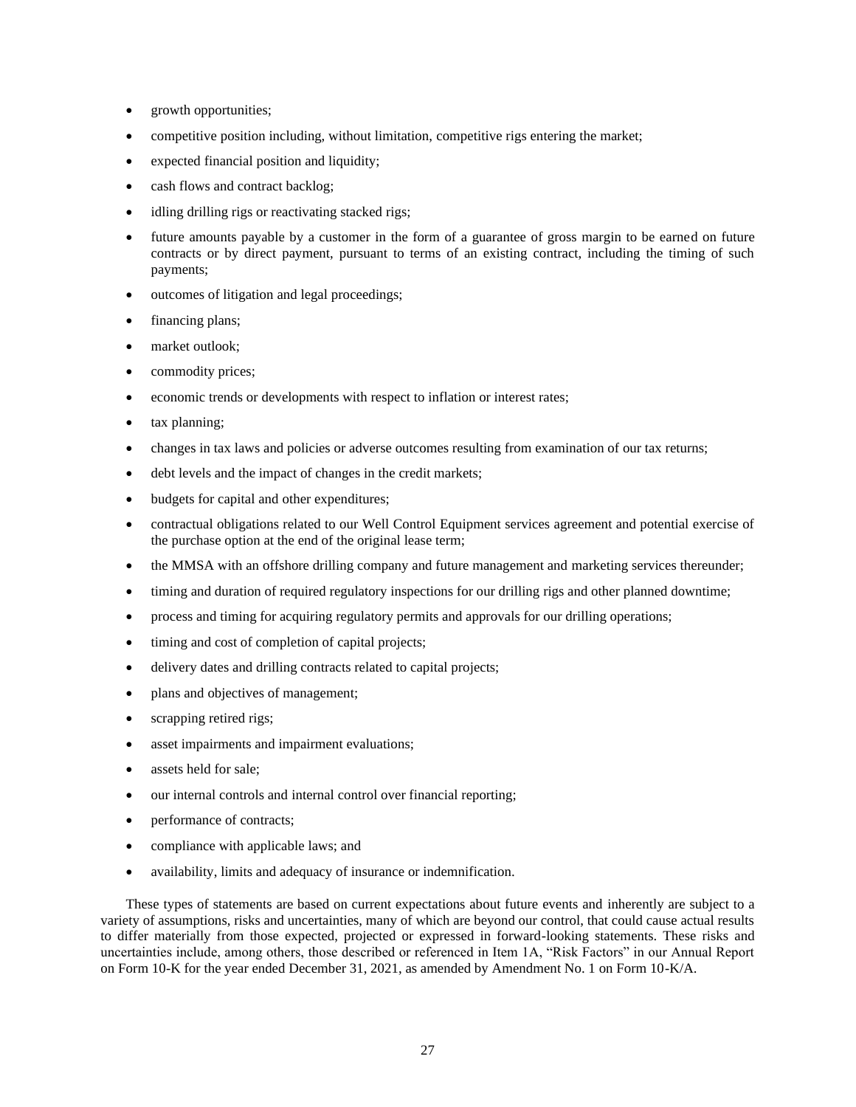- growth opportunities;
- competitive position including, without limitation, competitive rigs entering the market;
- expected financial position and liquidity;
- cash flows and contract backlog;
- idling drilling rigs or reactivating stacked rigs;
- future amounts payable by a customer in the form of a guarantee of gross margin to be earned on future contracts or by direct payment, pursuant to terms of an existing contract, including the timing of such payments;
- outcomes of litigation and legal proceedings;
- financing plans;
- market outlook;
- commodity prices;
- economic trends or developments with respect to inflation or interest rates;
- tax planning;
- changes in tax laws and policies or adverse outcomes resulting from examination of our tax returns;
- debt levels and the impact of changes in the credit markets;
- budgets for capital and other expenditures;
- contractual obligations related to our Well Control Equipment services agreement and potential exercise of the purchase option at the end of the original lease term;
- the MMSA with an offshore drilling company and future management and marketing services thereunder;
- timing and duration of required regulatory inspections for our drilling rigs and other planned downtime;
- process and timing for acquiring regulatory permits and approvals for our drilling operations;
- timing and cost of completion of capital projects;
- delivery dates and drilling contracts related to capital projects;
- plans and objectives of management;
- scrapping retired rigs;
- asset impairments and impairment evaluations;
- assets held for sale:
- our internal controls and internal control over financial reporting;
- performance of contracts;
- compliance with applicable laws; and
- availability, limits and adequacy of insurance or indemnification.

These types of statements are based on current expectations about future events and inherently are subject to a variety of assumptions, risks and uncertainties, many of which are beyond our control, that could cause actual results to differ materially from those expected, projected or expressed in forward-looking statements. These risks and uncertainties include, among others, those described or referenced in Item 1A, "Risk Factors" in our Annual Report on Form 10-K for the year ended December 31, 2021, as amended by Amendment No. 1 on Form 10-K/A.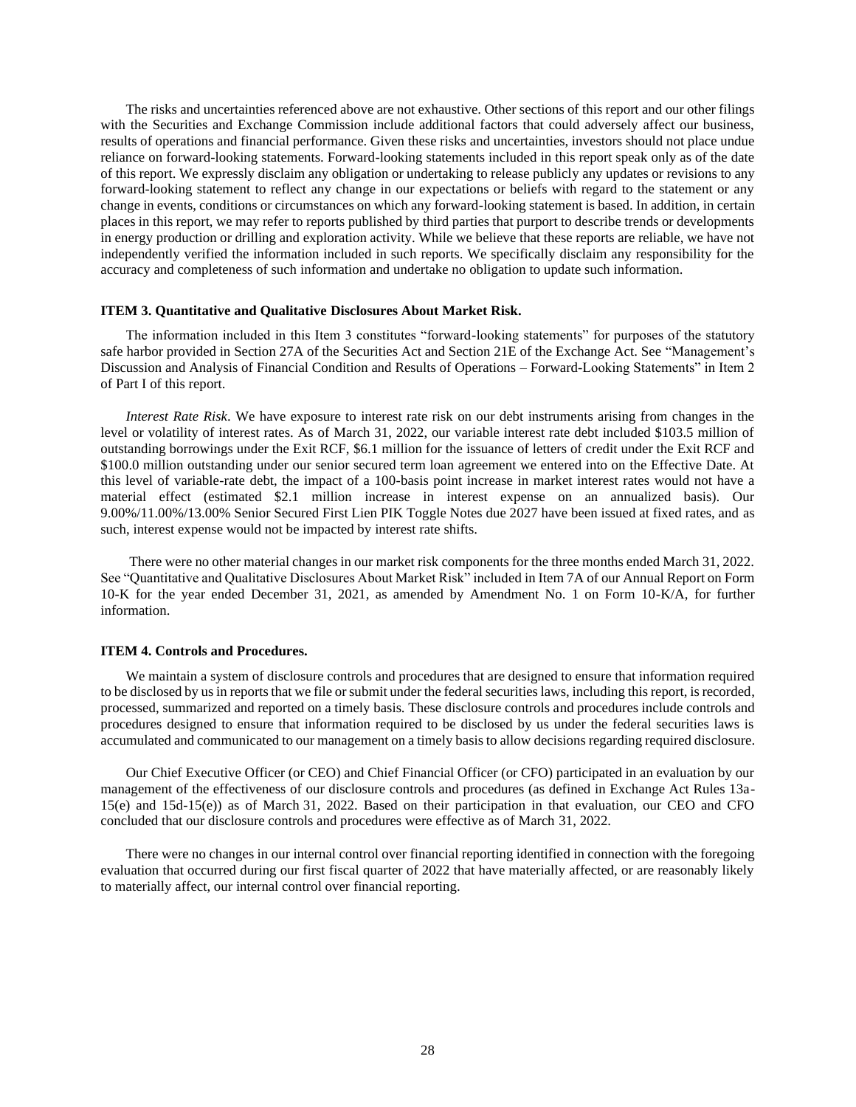The risks and uncertainties referenced above are not exhaustive. Other sections of this report and our other filings with the Securities and Exchange Commission include additional factors that could adversely affect our business, results of operations and financial performance. Given these risks and uncertainties, investors should not place undue reliance on forward-looking statements. Forward-looking statements included in this report speak only as of the date of this report. We expressly disclaim any obligation or undertaking to release publicly any updates or revisions to any forward-looking statement to reflect any change in our expectations or beliefs with regard to the statement or any change in events, conditions or circumstances on which any forward-looking statement is based. In addition, in certain places in this report, we may refer to reports published by third parties that purport to describe trends or developments in energy production or drilling and exploration activity. While we believe that these reports are reliable, we have not independently verified the information included in such reports. We specifically disclaim any responsibility for the accuracy and completeness of such information and undertake no obligation to update such information.

## <span id="page-27-0"></span>**ITEM 3. Quantitative and Qualitative Disclosures About Market Risk.**

The information included in this Item 3 constitutes "forward-looking statements" for purposes of the statutory safe harbor provided in Section 27A of the Securities Act and Section 21E of the Exchange Act. See "Management's Discussion and Analysis of Financial Condition and Results of Operations – Forward-Looking Statements" in Item 2 of Part I of this report.

*Interest Rate Risk*. We have exposure to interest rate risk on our debt instruments arising from changes in the level or volatility of interest rates. As of March 31, 2022, our variable interest rate debt included \$103.5 million of outstanding borrowings under the Exit RCF, \$6.1 million for the issuance of letters of credit under the Exit RCF and \$100.0 million outstanding under our senior secured term loan agreement we entered into on the Effective Date. At this level of variable-rate debt, the impact of a 100-basis point increase in market interest rates would not have a material effect (estimated \$2.1 million increase in interest expense on an annualized basis). Our 9.00%/11.00%/13.00% Senior Secured First Lien PIK Toggle Notes due 2027 have been issued at fixed rates, and as such, interest expense would not be impacted by interest rate shifts.

There were no other material changes in our market risk components for the three months ended March 31, 2022. See "Quantitative and Qualitative Disclosures About Market Risk" included in Item 7A of our Annual Report on Form 10-K for the year ended December 31, 2021, as amended by Amendment No. 1 on Form 10-K/A, for further information.

#### <span id="page-27-1"></span>**ITEM 4. Controls and Procedures.**

We maintain a system of disclosure controls and procedures that are designed to ensure that information required to be disclosed by us in reports that we file or submit under the federal securities laws, including this report, is recorded, processed, summarized and reported on a timely basis. These disclosure controls and procedures include controls and procedures designed to ensure that information required to be disclosed by us under the federal securities laws is accumulated and communicated to our management on a timely basis to allow decisions regarding required disclosure.

Our Chief Executive Officer (or CEO) and Chief Financial Officer (or CFO) participated in an evaluation by our management of the effectiveness of our disclosure controls and procedures (as defined in Exchange Act Rules 13a-15(e) and 15d-15(e)) as of March 31, 2022. Based on their participation in that evaluation, our CEO and CFO concluded that our disclosure controls and procedures were effective as of March 31, 2022.

There were no changes in our internal control over financial reporting identified in connection with the foregoing evaluation that occurred during our first fiscal quarter of 2022 that have materially affected, or are reasonably likely to materially affect, our internal control over financial reporting.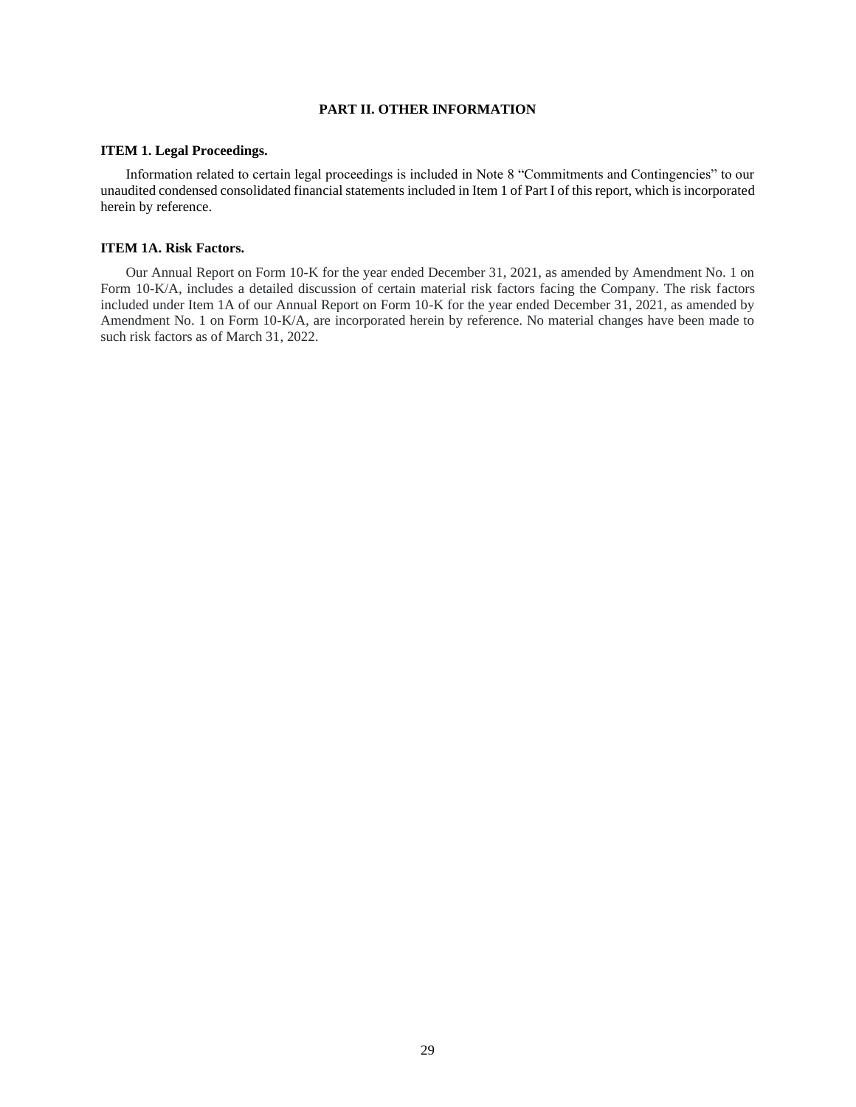# <span id="page-28-0"></span>**PART II. OTHER INFORMATION**

#### <span id="page-28-1"></span>**ITEM 1. Legal Proceedings.**

Information related to certain legal proceedings is included in Note 8 "Commitments and Contingencies" to our unaudited condensed consolidated financial statements included in Item 1 of Part I of this report, which is incorporated herein by reference.

## <span id="page-28-2"></span>**ITEM 1A. Risk Factors.**

Our Annual Report on Form 10-K for the year ended December 31, 2021, as amended by Amendment No. 1 on Form 10-K/A, includes a detailed discussion of certain material risk factors facing the Company. The risk factors included under Item 1A of our Annual Report on Form 10-K for the year ended December 31, 2021, as amended by Amendment No. 1 on Form 10-K/A, are incorporated herein by reference. No material changes have been made to such risk factors as of March 31, 2022.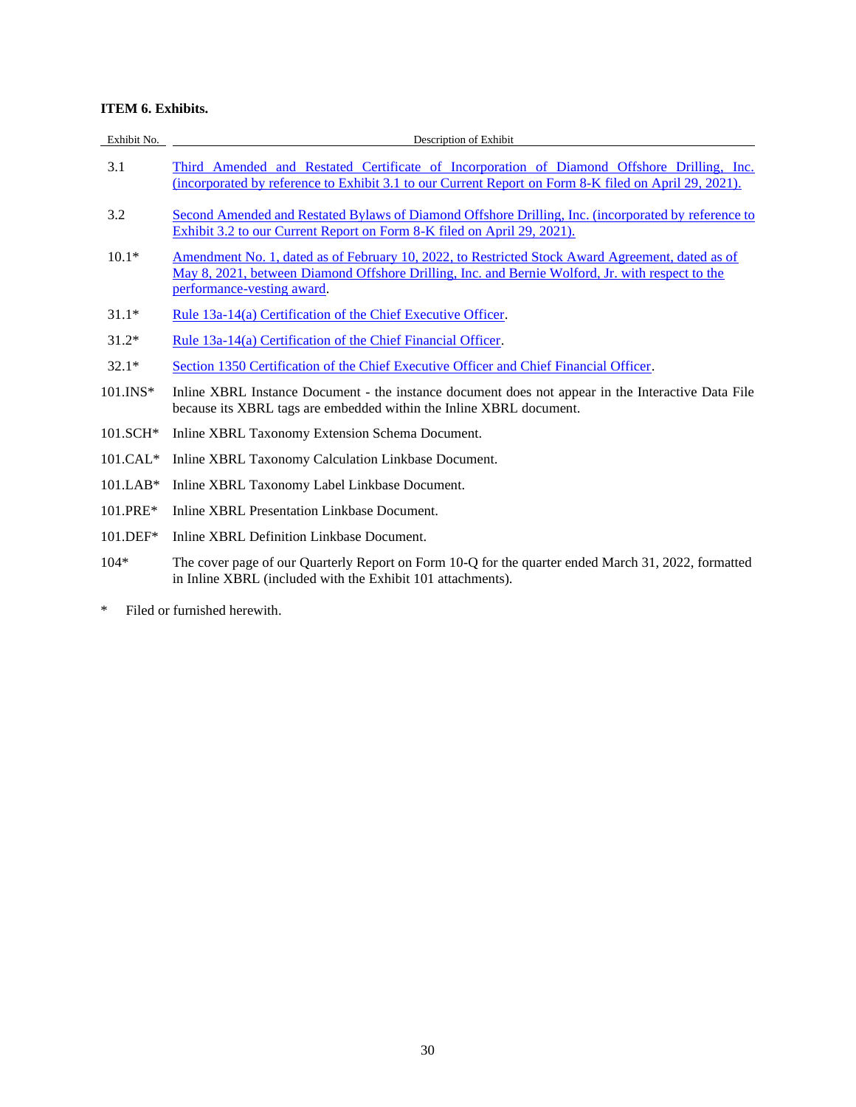# <span id="page-29-0"></span>**ITEM 6. Exhibits.**

| Exhibit No. | Description of Exhibit                                                                                                                                                                                                             |
|-------------|------------------------------------------------------------------------------------------------------------------------------------------------------------------------------------------------------------------------------------|
| 3.1         | Third Amended and Restated Certificate of Incorporation of Diamond Offshore Drilling, Inc.<br>(incorporated by reference to Exhibit 3.1 to our Current Report on Form 8-K filed on April 29, 2021).                                |
| 3.2         | Second Amended and Restated Bylaws of Diamond Offshore Drilling, Inc. (incorporated by reference to<br>Exhibit 3.2 to our Current Report on Form 8-K filed on April 29, 2021).                                                     |
| $10.1*$     | Amendment No. 1, dated as of February 10, 2022, to Restricted Stock Award Agreement, dated as of<br>May 8, 2021, between Diamond Offshore Drilling, Inc. and Bernie Wolford, Jr. with respect to the<br>performance-vesting award. |
| $31.1*$     | Rule 13a-14(a) Certification of the Chief Executive Officer.                                                                                                                                                                       |
| $31.2*$     | Rule 13a-14(a) Certification of the Chief Financial Officer.                                                                                                                                                                       |
| $32.1*$     | Section 1350 Certification of the Chief Executive Officer and Chief Financial Officer.                                                                                                                                             |
| $101.$ INS* | Inline XBRL Instance Document - the instance document does not appear in the Interactive Data File<br>because its XBRL tags are embedded within the Inline XBRL document.                                                          |
| $101.SCH*$  | Inline XBRL Taxonomy Extension Schema Document.                                                                                                                                                                                    |
| $101.CAL*$  | Inline XBRL Taxonomy Calculation Linkbase Document.                                                                                                                                                                                |
| $101.LAB*$  | Inline XBRL Taxonomy Label Linkbase Document.                                                                                                                                                                                      |
| 101.PRE*    | Inline XBRL Presentation Linkbase Document.                                                                                                                                                                                        |
| $101.DEF*$  | Inline XBRL Definition Linkbase Document.                                                                                                                                                                                          |
| $104*$      | The cover page of our Quarterly Report on Form 10-Q for the quarter ended March 31, 2022, formatted<br>in Inline XBRL (included with the Exhibit 101 attachments).                                                                 |
|             |                                                                                                                                                                                                                                    |

\* Filed or furnished herewith.